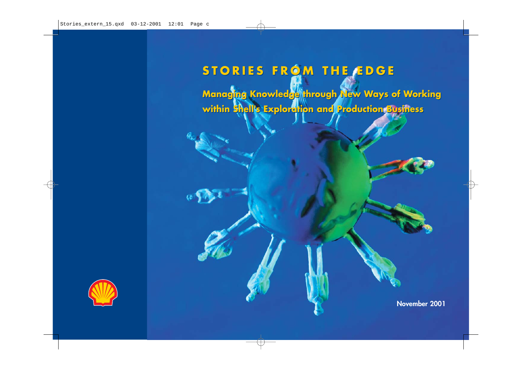# **STORIES FROM THE EDGE STORIES FROM THE EDGE**

**Managing Knowledge through New Ways of Working Managing Knowledge through New Ways of Working within Shell's Exploration and Production Business within Shell's Exploration and Production Business**



 $\omega$ 

**November 2001**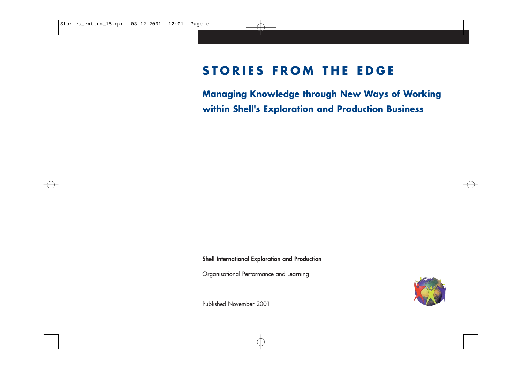# **STORIES FROM THE EDGE**

**Managing Knowledge through New Ways of Working within Shell's Exploration and Production Business**

**Shell International Exploration and Production**

Organisational Performance and Learning

Published November 2001

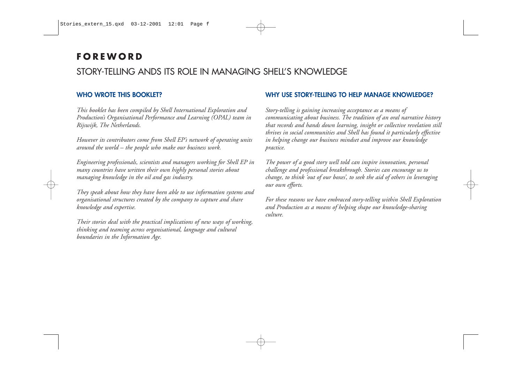# **FOREWORD**

# STORY-TELLING ANDS ITS ROLE IN MANAGING SHELL'S KNOWLEDGE

#### **WHO WROTE THIS BOOKLET?**

*This booklet has been compiled by Shell International Exploration and Production's Organisational Performance and Learning (OPAL) team in Rijswijk, The Netherlands.* 

*However its contributors come from Shell EP's network of operating units around the world – the people who make our business work.* 

*Engineering professionals, scientists and managers working for Shell EP in many countries have written their own highly personal stories about managing knowledge in the oil and gas industry.* 

*They speak about how they have been able to use information systems and organisational structures created by the company to capture and share knowledge and expertise.*

*Their stories deal with the practical implications of new ways of working, thinking and teaming across organisational, language and cultural boundaries in the Information Age.* 

#### **WHY USE STORY-TELLING TO HELP MANAGE KNOWLEDGE?**

*Story-telling is gaining increasing acceptance as a means of communicating about business. The tradition of an oral narrative history that records and hands down learning, insight or collective revelation still thrives in social communities and Shell has found it particularly effective in helping change our business mindset and improve our knowledge practice.*

*The power of a good story well told can inspire innovation, personal challenge and professional breakthrough. Stories can encourage us to change, to think 'out of our boxes', to seek the aid of others in leveraging our own efforts.*

*For these reasons we have embraced story-telling within Shell Exploration and Production as a means of helping shape our knowledge-sharing culture.*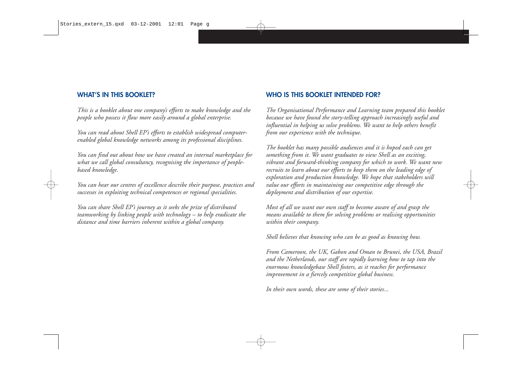#### **WHAT'S IN THIS BOOKLET?**

*This is a booklet about one company's efforts to make knowledge and the people who possess it flow more easily around a global enterprise.*

*You can read about Shell EP's efforts to establish widespread computerenabled global knowledge networks among its professional disciplines.* 

*You can find out about how we have created an internal marketplace for what we call global consultancy, recognising the importance of peoplebased knowledge.* 

*You can hear our centres of excellence describe their purpose, practices and successes in exploiting technical competences or regional specialities.* 

*You can share Shell EP's journey as it seeks the prize of distributed teamworking by linking people with technology – to help eradicate the distance and time barriers inherent within a global company.*

#### **WHO IS THIS BOOKLET INTENDED FOR?**

*The Organisational Performance and Learning team prepared this booklet because we have found the story-telling approach increasingly useful and influential in helping us solve problems. We want to help others benefit from our experience with the technique.*

*The booklet has many possible audiences and it is hoped each can get something from it. We want graduates to view Shell as an exciting, vibrant and forward-thinking company for which to work. We want new recruits to learn about our efforts to keep them on the leading edge of exploration and production knowledge. We hope that stakeholders will value our efforts in maintaining our competitive edge through the deployment and distribution of our expertise.*

*Most of all we want our own staff to become aware of and grasp the means available to them for solving problems or realising opportunities within their company.* 

*Shell believes that knowing who can be as good as knowing how.*

*From Cameroon, the UK, Gabon and Oman to Brunei, the USA, Brazil and the Netherlands, our staff are rapidly learning how to tap into the enormous knowledgebase Shell fosters, as it reaches for performance improvement in a fiercely competitive global business.*

*In their own words, these are some of their stories...*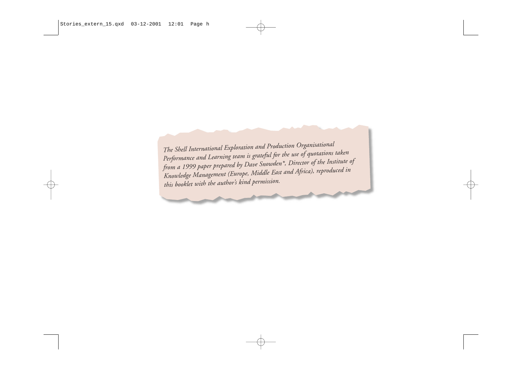*The Shell International Exploration and Production Organisationa<sup>l</sup> Performance and Learning team is grateful for the use of quotations taken from a 1999 paper prepared by Dave Snowden\*, Director of the Institute of Knowledge Management (Europe, Middle East and Africa), reproduced in this booklet with the author's kind permission.*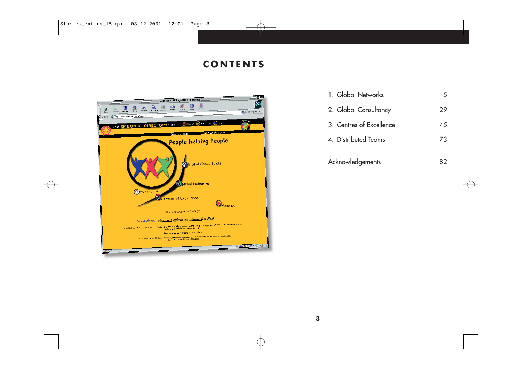## **CONTENTS**



| 1. Global Networks       | 5  |
|--------------------------|----|
| 2. Global Consultancy    | 29 |
| 3. Centres of Excellence | 45 |
| 4. Distributed Teams     | 73 |
| Acknowledgements         |    |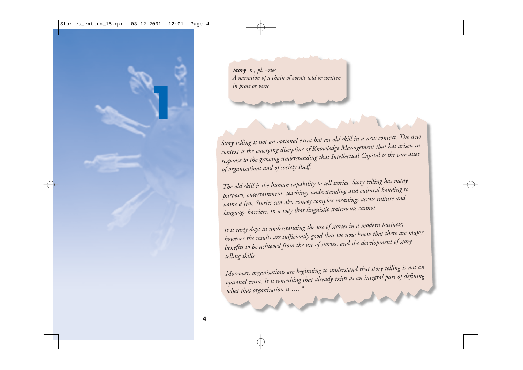

*Story n., pl. –ries A narration of a chain of events told or written in prose or verse*

*Story telling is not an optional extra but an old skill in a new context. The new context is the emerging discipline of Knowledge Management that has arisen in response to the growing understanding that Intellectual Capital is the core asset of organisations and of society itself.* 

*The old skill is the human capability to tell stories. Story telling has many purposes, entertainment, teaching, understanding and cultural bonding to name a few. Stories can also convey complex meanings across culture and language barriers, in a way that linguistic statements cannot.* 

*It is early days in understanding the use of stories in a modern business; however the results are sufficiently good that we now know that there are major benefits to be achieved from the use of stories, and the development of story telling skills.* 

*Moreover, organisations are beginning to understand that story telling is not an optional extra. It is something that already exists as an integral part of defining what that organisation is….. \**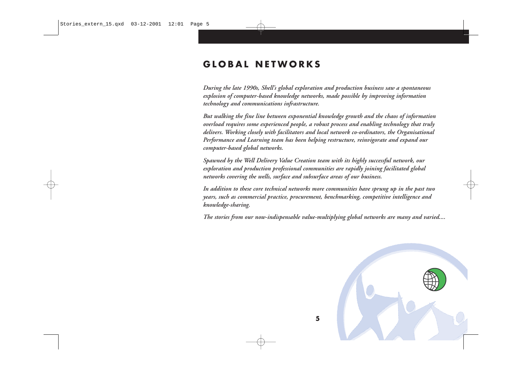### **GLOBAL NETWORKS**

*During the late 1990s, Shell's global exploration and production business saw a spontaneous explosion of computer-based knowledge networks, made possible by improving information technology and communications infrastructure.* 

*But walking the fine line between exponential knowledge growth and the chaos of information overload requires some experienced people, a robust process and enabling technology that truly delivers. Working closely with facilitators and local network co-ordinators, the Organisational Performance and Learning team has been helping restructure, reinvigorate and expand our computer-based global networks.*

*Spawned by the Well Delivery Value Creation team with its highly successful network, our exploration and production professional communities are rapidly joining facilitated global networks covering the wells, surface and subsurface areas of our business.* 

*In addition to these core technical networks more communities have sprung up in the past two years, such as commercial practice, procurement, benchmarking, competitive intelligence and knowledge-sharing.*

*The stories from our now-indispensable value-multiplying global networks are many and varied....*

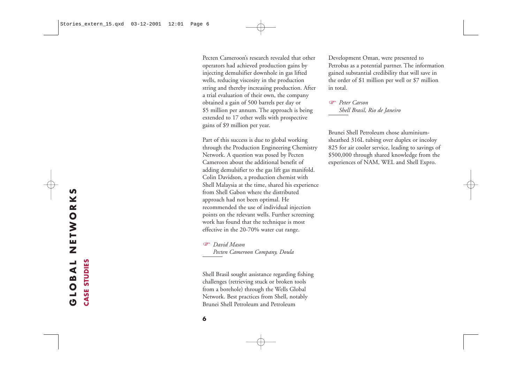Pecten Cameroon's research revealed that other operators had achieved production gains by injecting demulsifier downhole in gas lifted wells, reducing viscosity in the production string and thereby increasing production. After a trial evaluation of their own, the company obtained a gain of 500 barrels per day or \$5 million per annum. The approach is being extended to 17 other wells with prospective gains of \$9 million per year.

Part of this success is due to global working through the Production Engineering Chemistry Network. A question was posed by Pecten Cameroon about the additional benefit of adding demulsifier to the gas lift gas manifold. Colin Davidson, a production chemist with Shell Malaysia at the time, shared his experience from Shell Gabon where the distributed approach had not been optimal. He recommended the use of individual injection points on the relevant wells. Further screening work has found that the technique is most effective in the 20-70% water cut range.

 *David Mason Pecten Cameroon Company, Doula*

Shell Brasil sought assistance regarding fishing challenges (retrieving stuck or broken tools from a borehole) through the Wells Global Network. Best practices from Shell, notably Brunei Shell Petroleum and Petroleum

Development Oman, were presented to Petrobas as a potential partner. The information gained substantial credibility that will save in the order of \$1 million per well or \$7 million in total.

 *Peter Carson Shell Brasil, Rio de Janeiro*

Brunei Shell Petroleum chose aluminiumsheathed 316L tubing over duplex or incoloy 825 for air cooler service, leading to savings of \$500,000 through shared knowledge from the experiences of NAM, WEL and Shell Expro.

**CASE STUDIES** 

**6**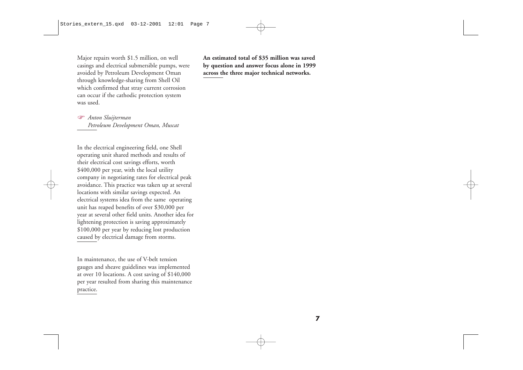Major repairs worth \$1.5 million, on well casings and electrical submersible pumps, were avoided by Petroleum Development Oman through knowledge-sharing from Shell Oil which confirmed that stray current corrosion can occur if the cathodic protection system was used.

 $\mathbb{Q}$  *Anton Sluijterman Petroleum Development Oman, Muscat* 

In the electrical engineering field, one Shell operating unit shared methods and results of their electrical cost savings efforts, worth \$400,000 per year, with the local utility company in negotiating rates for electrical peak avoidance. This practice was taken up at several locations with similar savings expected. An electrical systems idea from the same operating unit has reaped benefits of over \$30,000 per year at several other field units. Another idea for lightening protection is saving approximately \$100,000 per year by reducing lost production caused by electrical damage from storms.

In maintenance, the use of V-belt tension gauges and sheave guidelines was implemented at over 10 locations. A cost saving of \$140,000 per year resulted from sharing this maintenance practice.

**An estimated total of \$35 million was saved by question and answer focus alone in 1999 across the three major technical networks.**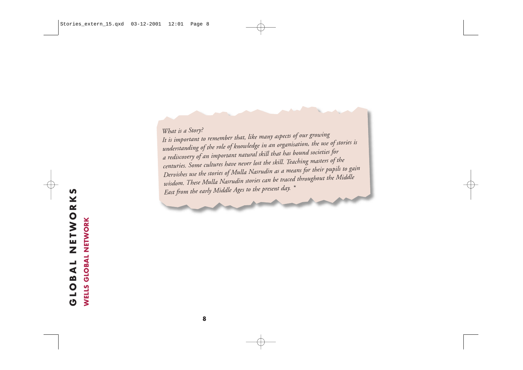*What is a Story? It is important to remember that, like many aspects of our growing understanding of the role of knowledge in an organisation, the use of stories is a rediscovery of an important natural skill that has bound societies for centuries. Some cultures have never lost the skill. Teaching masters of the Dervishes use the stories of Mulla Nasrudin as a means for their pupils to gain wisdom. These Mulla Nasrudin stories can be traced throughout the Middle East from the early Middle Ages to the present day. \**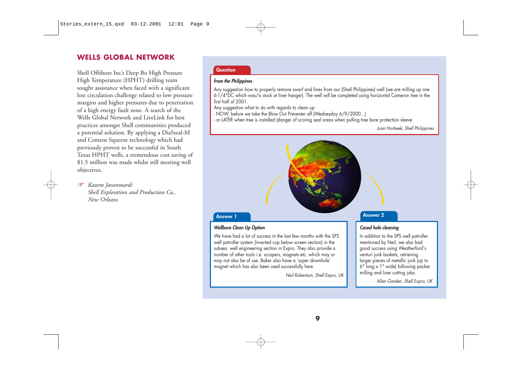#### **WELLS GLOBAL NETWORK**

Shell Offshore Inc's Deep Bo High Pressure High Temperature (HPHT) drilling team sought assistance when faced with a significant lost circulation challenge related to low pressure margins and higher pressures due to penetration of a high energy fault zone. A search of the Wells Global Network and LiveLink for best practices amongst Shell communities produced a potential solution. By applying a DiaSseal-M and Cement Squeeze technology which had previously proven to be successful in South Texas HPHT wells, a tremendous cost saving of \$1.5 million was made whilst still meeting well objectives.

☞ *Kazem Javanmardi Shell Exploration and Production Co., New Orleans*

#### **Question**

#### **from the Philippines**

Any suggestion how to properly remove swarf and fines from our (Shell Philippines) well (we are milling up one 6-1/4"DC which was/is stuck at liner hanger). The well will be completed using horizontal Cameron tree in the first half of 2001.

- Any suggestion what to do with regards to clean up:
- NOW, before we take the Blow Out Preventer off.(Wednesday 6/9/2000...)
- or LATER when tree is installed (danger of scoring seal areas when pulling tree bore protection sleeve

Joan Horbeek, Shell Philippines

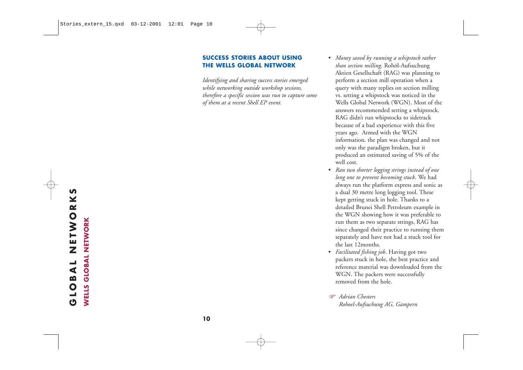#### **SUCCESS STORIES ABOUT USING THE WELLS GLOBAL NETWORK**

*Identifying and sharing success stories emerged while networking outside workshop sessions, therefore a specific session was run to capture some of them at a recent Shell EP event.*

- *Money saved by running a whipstock rather than section milling*. Rohöl-Aufsuchung Aktien Gesellschaft (RAG) was planning to perform a section mill operation when a query with many replies on section milling vs. setting a whipstock was noticed in the Wells Global Network (WGN). Most of the answers recommended setting a whipstock. RAG didn't run whipstocks to sidetrack because of a bad experience with this five years ago. Armed with the WGN information, the plan was changed and not only was the paradigm broken, but it produced an estimated saving of 5% of the well cost.
- *Ran two shorter logging strings instead of one long one to prevent becoming stuck*. We had always run the platform express and sonic as a dual 30 metre long logging tool. These kept getting stuck in hole. Thanks to a detailed Brunei Shell Petroleum example in the WGN showing how it was preferable to run them as two separate strings, RAG has since changed their practice to running them separately and have not had a stuck tool for the last 12months.
- *Facilitated fishing job*. Having got two packers stuck in hole, the best practice and reference material was downloaded from the WGN. The packers were successfully removed from the hole. **WELLS CONSUMER AND AN ANDERED SERVE AND SERVE AND SERVE AND SERVE AND SERVED SERVED AND SERVED SERVED AND SERVED SERVED SERVED SERVED SERVED SERVED SERVED SERVED TO THE PACKETS SURFACT THE PACKETS SURFACT THE PACKETS WERE** 
	- *Adrian Chesters*

# **GLOBAL NETWORKS**  NETWORKS **LOBAL**  $\ddot{\mathbf{C}}$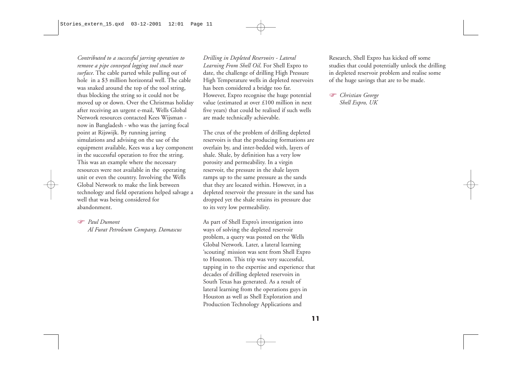*Contributed to a successful jarring operation to remove a pipe conveyed logging tool stuck near surface*. The cable parted while pulling out of hole in a \$3 million horizontal well. The cable was snaked around the top of the tool string, thus blocking the string so it could not be moved up or down. Over the Christmas holiday after receiving an urgent e-mail, Wells Global Network resources contacted Kees Wijsman now in Bangladesh - who was the jarring focal point at Rijswijk. By running jarring simulations and advising on the use of the equipment available, Kees was a key component in the successful operation to free the string. This was an example where the necessary resources were not available in the operating unit or even the country. Involving the Wells Global Network to make the link between technology and field operations helped salvage a well that was being considered for abandonment.

#### *Paul Dumont*

*Al Furat Petroleum Company, Damascus*

*Drilling in Depleted Reservoirs - Lateral Learning From Shell Oil*. For Shell Expro to date, the challenge of drilling High Pressure High Temperature wells in depleted reservoirs has been considered a bridge too far. However, Expro recognise the huge potential value (estimated at over £100 million in next five years) that could be realised if such wells are made technically achievable.

The crux of the problem of drilling depleted reservoirs is that the producing formations are overlain by, and inter-bedded with, layers of shale. Shale, by definition has a very low porosity and permeability. In a virgin reservoir, the pressure in the shale layers ramps up to the same pressure as the sands that they are located within. However, in a depleted reservoir the pressure in the sand has dropped yet the shale retains its pressure due to its very low permeability.

As part of Shell Expro's investigation into ways of solving the depleted reservoir problem, a query was posted on the Wells Global Network. Later, a lateral learning 'scouting' mission was sent from Shell Expro to Houston. This trip was very successful, tapping in to the expertise and experience that decades of drilling depleted reservoirs in South Texas has generated. As a result of lateral learning from the operations guys in Houston as well as Shell Exploration and Production Technology Applications and

Research, Shell Expro has kicked off some studies that could potentially unlock the drilling in depleted reservoir problem and realise some of the huge savings that are to be made.

 *Christian George Shell Expro, UK*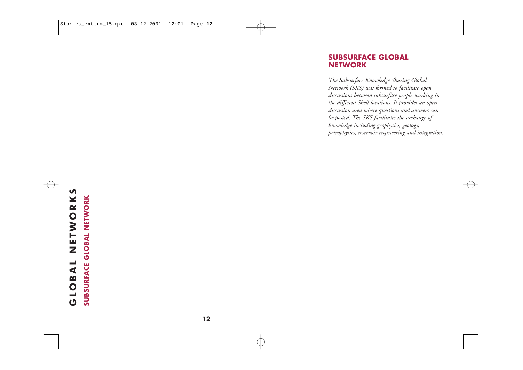#### **SUBSURFACE GLOBAL NETWORK**

*The Subsurface Knowledge Sharing Global Network (SKS) was formed to facilitate open discussions between subsurface people working in the different Shell locations. It provides an open discussion area where questions and answers can be posted. The SKS facilitates the exchange of knowledge including geophysics, geology, petrophysics, reservoir engineering and integration.*

# **GLOBAL NETWORKS**  NETWORKS GLOBAL

**SUBSURFACE GLOBAL NETWORK SUBSURFACE GLOBAL NETWORK**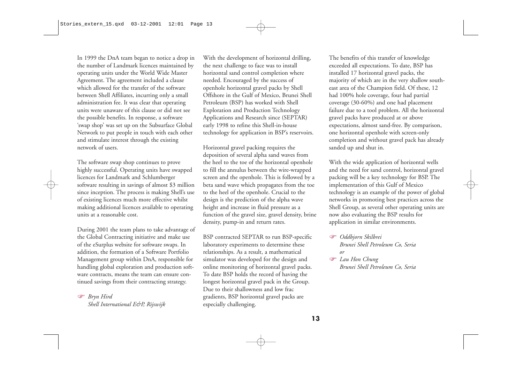In 1999 the DnA team began to notice a drop in the number of Landmark licences maintained by operating units under the World Wide Master Agreement. The agreement included a clause which allowed for the transfer of the software between Shell Affiliates, incurring only a small administration fee. It was clear that operating units were unaware of this clause or did not see the possible benefits. In response, a software 'swap shop' was set up on the Subsurface Global Network to put people in touch with each other and stimulate interest through the existing network of users.

The software swap shop continues to prove highly successful. Operating units have swapped licences for Landmark and Schlumberger software resulting in savings of almost \$3 million since inception. The process is making Shell's use of existing licences much more effective whilst making additional licences available to operating units at a reasonable cost.

During 2001 the team plans to take advantage of the Global Contracting initiative and make use of the eSurplus website for software swaps. In addition, the formation of a Software Portfolio Management group within DnA, responsible for handling global exploration and production software contracts, means the team can ensure continued savings from their contracting strategy.

 *Bryn Hird Shell International E&P, Rijswijk* With the development of horizontal drilling, the next challenge to face was to install horizontal sand control completion where needed. Encouraged by the success of openhole horizontal gravel packs by Shell Offshore in the Gulf of Mexico, Brunei Shell Petroleum (BSP) has worked with Shell Exploration and Production Technology Applications and Research since (SEPTAR) early 1998 to refine this Shell-in-house technology for application in BSP's reservoirs.

Horizontal gravel packing requires the deposition of several alpha sand waves from the heel to the toe of the horizontal openhole to fill the annulus between the wire-wrapped screen and the openhole. This is followed by a beta sand wave which propagates from the toe to the heel of the openhole. Crucial to the design is the prediction of the alpha wave height and increase in fluid pressure as a function of the gravel size, gravel density, brine density, pump-in and return rates.

BSP contracted SEPTAR to run BSP-specific laboratory experiments to determine these relationships. As a result, a mathematical simulator was developed for the design and online monitoring of horizontal gravel packs. To date BSP holds the record of having the longest horizontal gravel pack in the Group. Due to their shallowness and low frac gradients, BSP horizontal gravel packs are especially challenging.

The benefits of this transfer of knowledge exceeded all expectations. To date, BSP has installed 17 horizontal gravel packs, the majority of which are in the very shallow southeast area of the Champion field. Of these, 12 had 100% hole coverage, four had partial coverage (30-60%) and one had placement failure due to a tool problem. All the horizontal gravel packs have produced at or above expectations, almost sand-free. By comparison, one horizontal openhole with screen-only completion and without gravel pack has already sanded up and shut in.

With the wide application of horizontal wells and the need for sand control, horizontal gravel packing will be a key technology for BSP. The implementation of this Gulf of Mexico technology is an example of the power of global networks in promoting best practices across the Shell Group, as several other operating units are now also evaluating the BSP results for application in similar environments.

- *Oddbjorn Skilbrei Brunei Shell Petroleum Co, Seria or*
- *Lau Hon Chung Brunei Shell Petroleum Co, Seria*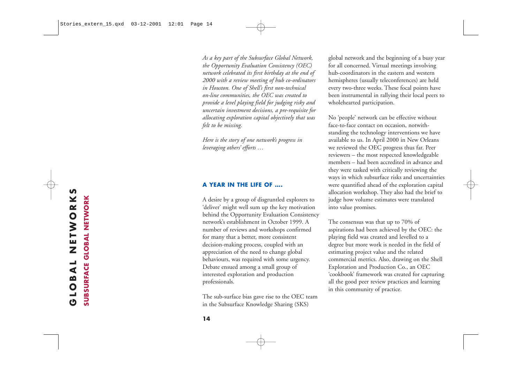*As a key part of the Subsurface Global Network, the Opportunity Evaluation Consistency (OEC) network celebrated its first birthday at the end of 2000 with a review meeting of hub co-ordinators in Houston. One of Shell's first non-technical on-line communities, the OEC was created to provide a level playing field for judging risky and uncertain investment decisions, a pre-requisite for allocating exploration capital objectively that was felt to be missing.*

*Here is the story of one network's progress in leveraging others' efforts …*

#### **A YEAR IN THE LIFE OF ….**

A desire by a group of disgruntled explorers to 'deliver' might well sum up the key motivation behind the Opportunity Evaluation Consistency network's establishment in October 1999. A number of reviews and workshops confirmed for many that a better, more consistent decision-making process, coupled with an appreciation of the need to change global behaviours, was required with some urgency. Debate ensued among a small group of interested exploration and production professionals.

The sub-surface bias gave rise to the OEC team in the Subsurface Knowledge Sharing (SKS)

<sup>g</sup>lobal network and the beginning of a busy year for all concerned. Virtual meetings involving hub-coordinators in the eastern and western hemispheres (usually teleconferences) are held every two-three weeks. These focal points have been instrumental in rallying their local peers to wholehearted participation.

No 'people' network can be effective without face-to-face contact on occasion, notwithstanding the technology interventions we have available to us. In April 2000 in New Orleans we reviewed the OEC progress thus far. Peer reviewers – the most respected knowledgeable members – had been accredited in advance and they were tasked with critically reviewing the ways in which subsurface risks and uncertainties were quantified ahead of the exploration capital allocation workshop. They also had the brief to judge how volume estimates were translated into value promises.

The consensus was that up to 70% of aspirations had been achieved by the OEC: the <sup>p</sup>laying field was created and levelled to a degree but more work is needed in the field of estimating project value and the related commercial metrics. Also, drawing on the Shell Exploration and Production Co., an OEC 'cookbook' framework was created for capturing all the good peer review practices and learning in this community of practice.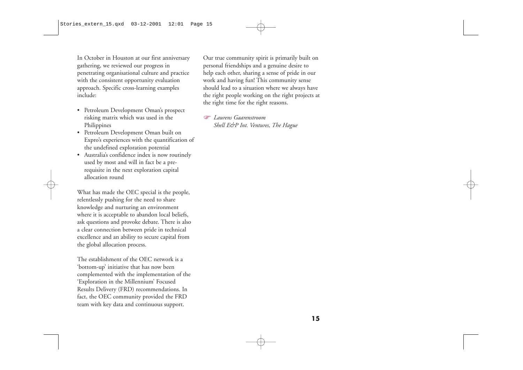In October in Houston at our first anniversary gathering, we reviewed our progress in penetrating organisational culture and practice with the consistent opportunity evaluation approach. Specific cross-learning examples include:

- Petroleum Development Oman's prospect risking matrix which was used in the Philippines
- Petroleum Development Oman built on Expro's experiences with the quantification of the undefined exploration potential
- Australia's confidence index is now routinely used by most and will in fact be a prerequisite in the next exploration capital allocation round

What has made the OEC special is the people, relentlessly pushing for the need to share knowledge and nurturing an environment where it is acceptable to abandon local beliefs, ask questions and provoke debate. There is also a clear connection between pride in technical excellence and an ability to secure capital from the global allocation process.

The establishment of the OEC network is a 'bottom-up' initiative that has now been complemented with the implementation of the 'Exploration in the Millennium' Focused Results Delivery (FRD) recommendations. In fact, the OEC community provided the FRD team with key data and continuous support.

Our true community spirit is primarily built on personal friendships and a genuine desire to help each other, sharing a sense of pride in our work and having fun! This community sense should lead to a situation where we always have the right people working on the right projects at the right time for the right reasons.

 *Laurens Gaarenstroom Shell E&P Int. Ventures, The Hague*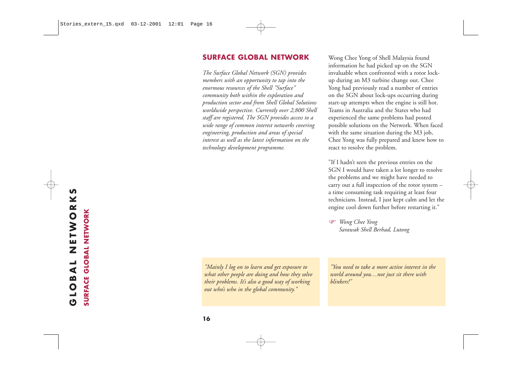#### **SURFACE GLOBAL NETWORK**

*The Surface Global Network (SGN) provides members with an opportunity to tap into the enormous resources of the Shell "Surface" community both within the exploration and production sector and from Shell Global Solutions worldwide perspective. Currently over 2,800 Shell staff are registered. The SGN provides access to a wide range of common interest networks covering engineering, production and areas of special interest as well as the latest information on the technology development programme.*

Wong Chee Yong of Shell Malaysia found information he had picked up on the SGN invaluable when confronted with a rotor lockup during an M3 turbine change out. Chee Yong had previously read a number of entries on the SGN about lock-ups occurring during start-up attempts when the engine is still hot. Teams in Australia and the States who had experienced the same problems had posted possible solutions on the Network. When faced with the same situation during the M3 job, Chee Yong was fully prepared and knew how to react to resolve the problem.

"If I hadn't seen the previous entries on the SGN I would have taken a lot longer to resolve the problems and we might have needed to carry out a full inspection of the rotor system – a time consuming task requiring at least four technicians. Instead, I just kept calm and let the engine cool down further before restarting it."

 *Wong Chee Yong Sarawak Shell Berhad, Lutong*

*"Mainly I log on to learn and get exposure to what other people are doing and how they solve their problems. It's also a good way of working out who's who in the global community."*

*"You need to take a more active interest in the world around you…not just sit there with blinkers!"*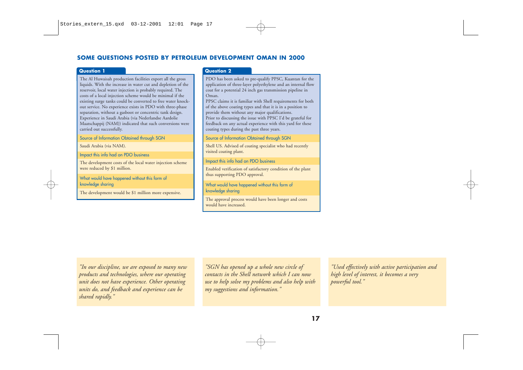#### **SOME QUESTIONS POSTED BY PETROLEUM DEVELOPMENT OMAN IN 2000**

#### **Question 1**

The Al Huwaisah production facilities export all the gross liquids. With the increase in water cut and depletion of the reservoir, local water injection is probably required. The costs of a local injection scheme would be minimal if the existing surge tanks could be converted to free water knockout service. No experience exists in PDO with three-phase separation, without a gasboot or concentric tank design. Experience in Saudi Arabia (via Nederlandse Aardolie Maatschappij (NAM)) indicated that such conversions were carried out successfully.

Source of Information Obtained through SGN

Saudi Arabia (via NAM).

Impact this info had on PDO business

The development costs of the local water injection scheme were reduced by \$1 million.

What would have happened without this form of knowledge sharing

The development would be \$1 million more expensive.

#### **Question 2**

PDO has been asked to pre-qualify PPSC, Kuantan for the application of three-layer polyethylene and an internal flow coat for a potential 24 inch gas transmission pipeline in Oman.

PPSC claims it is familiar with Shell requirements for both of the above coating types and that it is in a position to provide them without any major qualifications. Prior to discussing the issue with PPSC I'd be grateful for feedback on any actual experience with this yard for these coating types during the past three years.

Source of Information Obtained through SGN

Shell US. Advised of coating specialist who had recently visited coating plant.

Impact this info had on PDO business

Enabled verification of satisfactory condition of the plant thus supporting PDO approval.

What would have happened without this form of knowledge sharing

The approval process would have been longer and costs would have increased.

*"In our discipline, we are exposed to many new products and technologies, where our operating unit does not have experience. Other operating units do, and feedback and experience can be shared rapidly."*

*"SGN has opened up a whole new circle of contacts in the Shell network which I can now use to help solve my problems and also help with my suggestions and information."*

*"Used effectively with active participation and high level of interest, it becomes a very powerful tool."*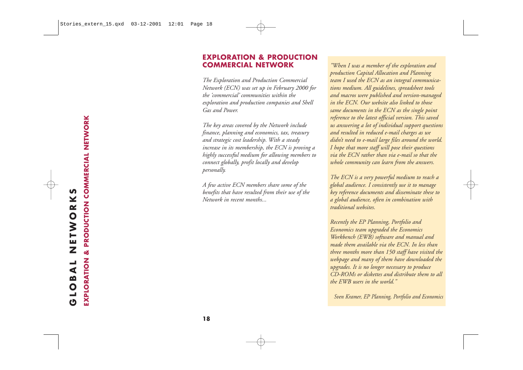#### **EXPLORATION & PRODUCTION COMMERCIAL NETWORK**

*The Exploration and Production Commercial Network (ECN) was set up in February 2000 for the 'commercial' communities within the exploration and production companies and Shell Gas and Power.* 

*The key areas covered by the Network include finance, planning and economics, tax, treasury and strategic cost leadership. With a steady increase in its membership, the ECN is proving a highly successful medium for allowing members to connect globally, profit locally and develop personally.* 

*A few active ECN members share some of the benefits that have resulted from their use of the Network in recent months...*

*"When I was a member of the exploration and production Capital Allocation and Planning team I used the ECN as an integral communications medium. All guidelines, spreadsheet tools and macros were published and version-managed in the ECN. Our website also linked to those same documents in the ECN as the single point reference to the latest official version. This saved us answering a lot of individual support questions and resulted in reduced e-mail charges as we didn't need to e-mail large files around the world. I hope that more staff will pose their questions via the ECN rather than via e-mail so that the whole community can learn from the answers.* 

*The ECN is a very powerful medium to reach a global audience. I consistently use it to manage key reference documents and disseminate these to a global audience, often in combination with traditional websites.*

*Recently the EP Planning, Portfolio and Economics team upgraded the Economics Workbench (EWB) software and manual and made them available via the ECN. In less than three months more than 150 staff have visited the webpage and many of them have downloaded the upgrades. It is no longer necessary to produce CD-ROMs or diskettes and distribute them to all the EWB users in the world."*

*Sven Kramer, EP Planning, Portfolio and Economics*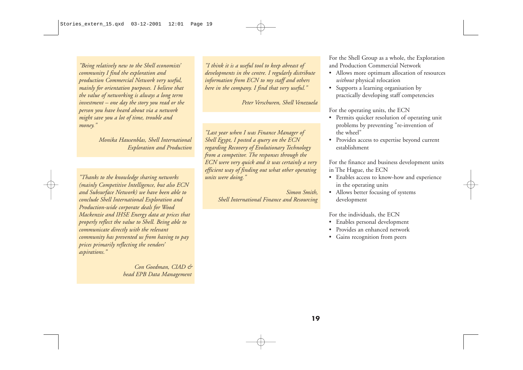*"Being relatively new to the Shell economists' community I find the exploration and production Commercial Network very useful, mainly for orientation purposes. I believe that the value of networking is always a long term investment – one day the story you read or the person you have heard about via a network might save you a lot of time, trouble and money."* 

#### *Monika Hausenblas, Shell International Exploration and Production*

*"Thanks to the knowledge sharing networks (mainly Competitive Intelligence, but also ECN and Subsurface Network) we have been able to conclude Shell International Exploration and Production-wide corporate deals for Wood Mackenzie and IHSE Energy data at prices that properly reflect the value to Shell. Being able to communicate directly with the relevant community has prevented us from having to pay prices primarily reflecting the vendors' aspirations."*

> *Con Goedman, CIAD & head EPB Data Management*

*"I think it is a useful tool to keep abreast of developments in the centre. I regularly distribute information from ECN to my staff and others here in the company. I find that very useful."* 

*Peter Verschuren, Shell Venezuela*

*"Last year when I was Finance Manager of Shell Egypt, I posted a query on the ECN regarding Recovery of Evolutionary Technology from a competitor. The responses through the ECN were very quick and it was certainly a very efficient way of finding out what other operating units were doing."*

> *Simon Smith, Shell International Finance and Resourcing*

For the Shell Group as a whole, the Exploration and Production Commercial Network

- Allows more optimum allocation of resources *without* physical relocation
- Supports a learning organisation by practically developing staff competencies

For the operating units, the ECN

- Permits quicker resolution of operating unit problems by preventing "re-invention of the wheel"
- Provides access to expertise beyond current establishment

For the finance and business development units in The Hague, the ECN

- Enables access to know-how and experience in the operating units
- Allows better focusing of systems development

For the individuals, the ECN

- Enables personal development
- Provides an enhanced network
- Gains recognition from peers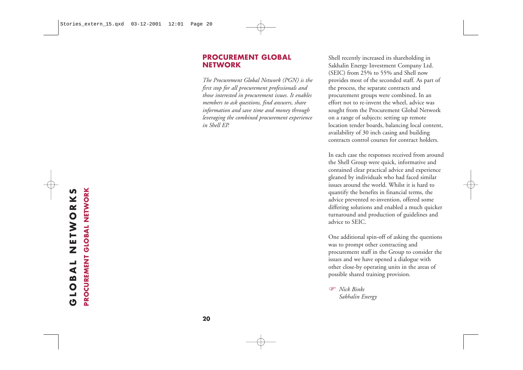#### **PROCUREMENT GLOBAL NETWORK**

*The Procurement Global Network (PGN) is the first stop for all procurement professionals and those interested in procurement issues. It enables members to ask questions, find answers, share information and save time and money through leveraging the combined procurement experience in Shell EP.*

Shell recently increased its shareholding in Sakhalin Energy Investment Company Ltd. (SEIC) from 25% to 55% and Shell now provides most of the seconded staff. As part of the process, the separate contracts and procurement groups were combined. In an effort not to re-invent the wheel, advice was sought from the Procurement Global Network on a range of subjects: setting up remote location tender boards, balancing local content, availability of 30 inch casing and building contracts control courses for contract holders.

In each case the responses received from around the Shell Group were quick, informative and contained clear practical advice and experience <sup>g</sup>leaned by individuals who had faced similar issues around the world. Whilst it is hard to quantify the benefits in financial terms, the advice prevented re-invention, offered some differing solutions and enabled a much quicker turnaround and production of guidelines and advice to SEIC.

One additional spin-off of asking the questions was to prompt other contracting and procurement staff in the Group to consider the issues and we have opened a dialogue with other close-by operating units in the areas of possible shared training provision.

 *Nick Binks Sakhalin Energy*

# **GLOBAL NETWORKS GLOBAL NETWORKS**<br>PROCUREMENT GLOBAL NETWORK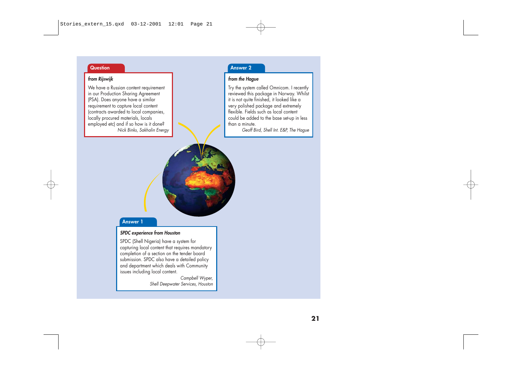#### **Question**

#### **from Rijswijk**

We have a Russian content requirement in our Production Sharing Agreement (PSA). Does anyone have a similar requirement to capture local content (contracts awarded to local companies, locally procured materials, locals employed etc) and if so how is it done? Nick Binks, Sakhalin Energy

#### **Answer 2**

#### **from the Hague**

Try the system called Omnicom. I recently reviewed this package in Norway. Whilst it is not quite finished, it looked like a very polished package and extremely flexible. Fields such as local content could be added to the base set-up in less than a minute.

Geoff Bird, Shell Int. E&P, The Hague

# **Answer 1**

#### **SPDC experience from Houston**

SPDC (Shell Nigeria) have a system for capturing local content that requires mandatory completion of a section on the tender board submission. SPDC also have a detailed policy and department which deals with Community issues including local content.

Campbell Wyper, Shell Deepwater Services, Houston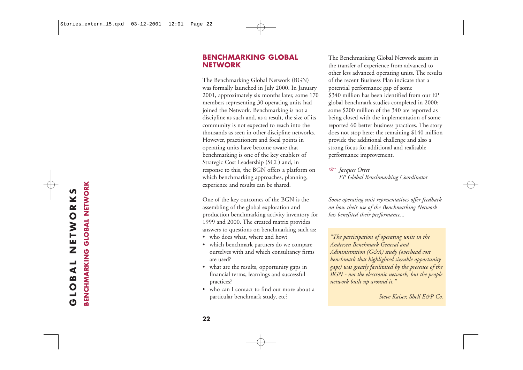#### **BENCHMARKING GLOBAL NETWORK**

The Benchmarking Global Network (BGN) was formally launched in July 2000. In January 2001, approximately six months later, some 170 members representing 30 operating units had joined the Network. Benchmarking is not a discipline as such and, as a result, the size of its community is not expected to reach into the thousands as seen in other discipline networks. However, practitioners and focal points in operating units have become aware that benchmarking is one of the key enablers of Strategic Cost Leadership (SCL) and, in response to this, the BGN offers a platform on which benchmarking approaches, planning, experience and results can be shared.

One of the key outcomes of the BGN is the assembling of the global exploration and production benchmarking activity inventory for 1999 and 2000. The created matrix provides answers to questions on benchmarking such as:

- who does what, where and how?
- which benchmark partners do we compare ourselves with and which consultancy firms are used?
- what are the results, opportunity gaps in financial terms, learnings and successful practices?
- who can I contact to find out more about a particular benchmark study, etc?

The Benchmarking Global Network assists in the transfer of experience from advanced to other less advanced operating units. The results of the recent Business Plan indicate that a potential performance gap of some \$340 million has been identified from our EP <sup>g</sup>lobal benchmark studies completed in 2000; some \$200 million of the 340 are reported as being closed with the implementation of some reported 60 better business practices. The story does not stop here: the remaining \$140 million provide the additional challenge and also a strong focus for additional and realisable performance improvement.

 *Jacques Ortet EP Global Benchmarking Coordinator*

*Some operating unit representatives offer feedback on how their use of the Benchmarking Network has benefited their performance...*

*"The participation of operating units in the Andersen Benchmark General and Administration (G&A) study (overhead cost benchmark that highlighted sizeable opportunity gaps) was greatly facilitated by the presence of the BGN - not the electronic network, but the people network built up around it."*

*Steve Kaiser, Shell E&P Co.*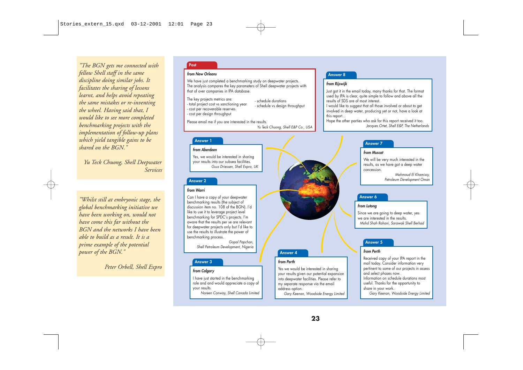*"The BGN gets me connected with fellow Shell staff in the same discipline doing similar jobs. It facilitates the sharing of lessons learnt, and helps avoid repeating the same mistakes or re-inventing the wheel. Having said that, I would like to see more completed benchmarking projects with the implementation of follow-up plans which yield tangible gains to be shared on the BGN."*

*Yu Teck Chuong, Shell Deepwater Services*

*"Whilst still at embryonic stage, the global benchmarking initiative we have been working on, would not have come this far without the BGN and the networks I have been able to build as a result. It is a prime example of the potential power of the BGN."*

*Peter Orbell, Shell Expro*

#### **Post**

#### **from New Orleans**

We have just completed a benchmarking study on deepwater projects. The analysis compares the key parameters of Shell deepwater projects with that of over companies in IPA database.

The key projects metrics are: - total project cost vs sanctioning year

- schedule durations - schedule vs design throughput
- cost per recoverable reserves
- cost per design throughput

Please email me if you are interested in the results. Yu Teck Chuong, Shell E&P Co., USA

#### **from Aberdeen**

Yes, we would be interested in sharing your results into our subsea facilities. Guus Driessen, Shell Expro, UK

#### **Answer 2**

#### **from Warri**

Can I have a copy of your deepwater benchmarking results (the subject of discussion item no. 108 of the BGN). I'd like to use it to leverage project level benchmarking for SPDC's projects. I'm aware that the results per se are relevant for deepwater projects only but I'd like to use the results to illustrate the power of benchmarking process.

> Gopal Papchan, Shell Petroleum Development, Nigeria

#### **Answer 3**

#### **from Calgary**

I have just started in the benchmarking role and and would appreciate a copy of your results

Noreen Conway, Shell Canada Limited

#### **Answer 8**

#### **from Rijswijk**

Just got it in the email today, many thanks for that. The format used by IPA is clear, quite simple to follow and above all the results of SDS are of most interest.

I would like to suggest that all those involved or about to get involved in deep water, producing yet or not, have a look at this report...

Hope the other parties who ask for this report received it too. Jacques Ortet, Shell E&P, The Netherlands

#### **Answer 7 Answer 1**

#### **from Muscat**

We will be very much interested in the results, as we have got a deep water concession.

> Mahmoud El Khamissy, Petroleum Development Oman

#### **Answer 6**

#### **from Lutong**

Since we are going to deep water, yes we are interested in the results. Mohd Shah Rahani, Sarawak Shell Berhad

#### **Answer 5**

#### **from Perth**

Received copy of your IPA report in the mail today. Consider information very pertinent to some of our projects in assess and select phases now. Information on schedule durations most useful. Thanks for the opportunity to share in your work.

Gary Keenan, Woodside Energy Limited

Gary Keenan, Woodside Energy Limited

Yes we would be interested in sharing your results given our potential expansion into deepwater facilities. Please refer to my separate response via the email

**Answer 4**

**from Perth**

address option.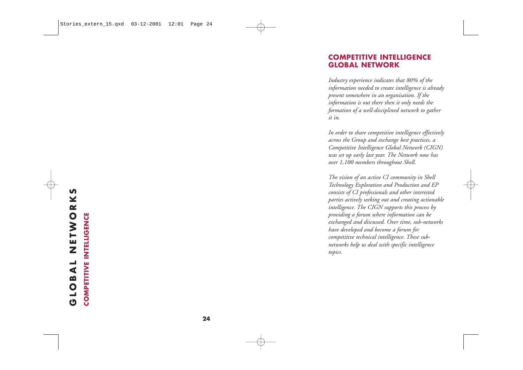#### **COMPETITIVE INTELLIGENCE GLOBAL NETWORK**

*Industry experience indicates that 80% of the information needed to create intelligence is already present somewhere in an organisation. If the information is out there then it only needs the formation of a well-disciplined network to gather it in.* 

*In order to share competitive intelligence effectively across the Group and exchange best practices, a Competitive Intelligence Global Network (CIGN) was set up early last year. The Network now has over 1,100 members throughout Shell.*

*The vision of an active CI community in Shell Technology Exploration and Production and EP consists of CI professionals and other interested parties actively seeking out and creating actionable intelligence. The CIGN supports this process by providing a forum where information can be exchanged and discussed. Over time, sub-networks have developed and become a forum for competitive technical intelligence. These subnetworks help us deal with specific intelligence topics.*

# **GLOBAL NETWORKS**  NETWORKS **COMPETITIVE INTELLIGENCE COMPETITIVE INTELLIGENCE IOBAL**  $\ddot{\mathbf{C}}$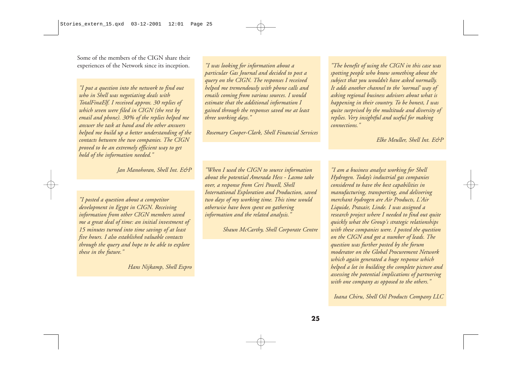Some of the members of the CIGN share their experiences of the Network since its inception. *"I was looking for information about a*

*"I put a question into the network to find out who in Shell was negotiating deals with TotalFinaElf. I received approx. 30 replies of which seven were filed in CIGN (the rest by email and phone). 30% of the replies helped me answer the task at hand and the other answers helped me build up a better understanding of the contacts between the two companies. The CIGN proved to be an extremely efficient way to get hold of the information needed."* 

*Jan Manohoran, Shell Int. E&P* 

*"I posted a question about a competitor development in Egypt in CIGN. Receiving information from other CIGN members saved me a great deal of time: an initial investment of 15 minutes turned into time savings of at least five hours. I also established valuable contacts through the query and hope to be able to explore these in the future."* 

*Hans Nijkamp, Shell Expro*

*particular Gas Journal and decided to post a query on the CIGN. The responses I received helped me tremendously with phone calls and emails coming from various sources. I would estimate that the additional information I gained through the responses saved me at least three working days."* 

*Rosemary Cooper-Clark, Shell Financial Services*

*"When I used the CIGN to source information about the potential Amerada Hess - Lasmo take over, a response from Ceri Powell, Shell International Exploration and Production, saved two days of my working time. This time would otherwise have been spent on gathering information and the related analysis."* 

*Shaun McCarthy, Shell Corporate Centre*

*"The benefit of using the CIGN in this case was spotting people who know something about the subject that you wouldn't have asked normally. It adds another channel to the 'normal' way of asking regional business advisors about what is happening in their country. To be honest, I was quite surprised by the multitude and diversity of replies. Very insightful and useful for making connections."* 

*Elke Meuller, Shell Int. E&P* 

*"I am a business analyst working for Shell Hydrogen. Today's industrial gas companies considered to have the best capabilities in manufacturing, transporting, and delivering merchant hydrogen are Air Products, L'Air Liquide, Praxair, Linde. I was assigned a research project where I needed to find out quite quickly what the Group's strategic relationships with these companies were. I posted the question on the CIGN and got a number of leads. The question was further posted by the forum moderator on the Global Procurement Network which again generated a huge response which helped a lot in building the complete picture and assessing the potential implications of partnering with one company as opposed to the others."*

*Ioana Chiru, Shell Oil Products Company LLC*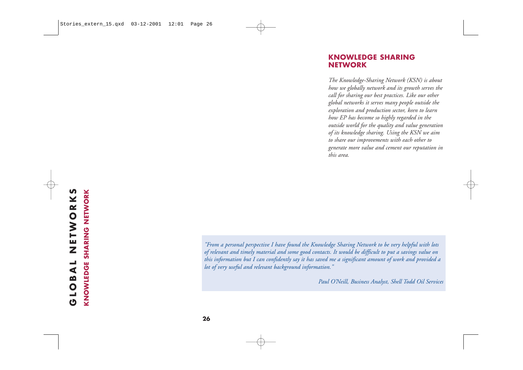#### **KNOWLEDGE SHARING NETWORK**

*The Knowledge-Sharing Network (KSN) is about how we globally network and its growth serves the call for sharing our best practices. Like our other global networks it serves many people outside the exploration and production sector, keen to learn how EP has become so highly regarded in the outside world for the quality and value generation of its knowledge sharing. Using the KSN we aim to share our improvements with each other to generate more value and cement our reputation in this area.*

**KNOWLEDGE SHARING NETWORK** *"From a personal perspective I have found the Knowledge Sharing Network to be very helpful with lots of relevant and timely material and some good contacts. It would be difficult to put a savings value on this information but I can confidently say it has saved me a significant amount of work and provided a lot of very useful and relevant background information."* 

*Paul O'Neill, Business Analyst, Shell Todd Oil Services*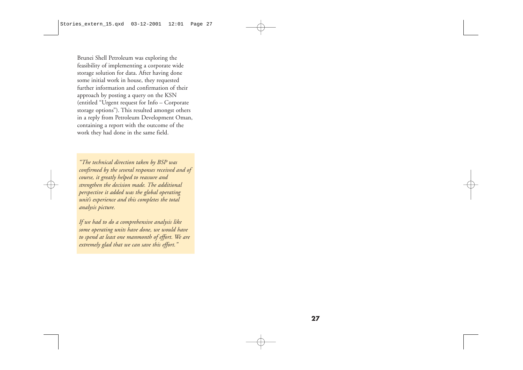Brunei Shell Petroleum was exploring the feasibility of implementing a corporate wide storage solution for data. After having done some initial work in house, they requested further information and confirmation of their approach by posting a query on the KSN (entitled "Urgent request for Info – Corporate storage options"). This resulted amongst others in a reply from Petroleum Development Oman, containing a report with the outcome of the work they had done in the same field.

*"The technical direction taken by BSP was confirmed by the several responses received and of course, it greatly helped to reassure and strengthen the decision made. The additional perspective it added was the global operating unit's experience and this completes the total analysis picture.*

*If we had to do a comprehensive analysis like some operating units have done, we would have to spend at least one manmonth of effort. We are extremely glad that we can save this effort."*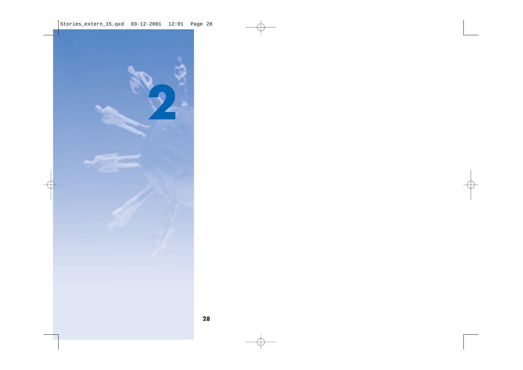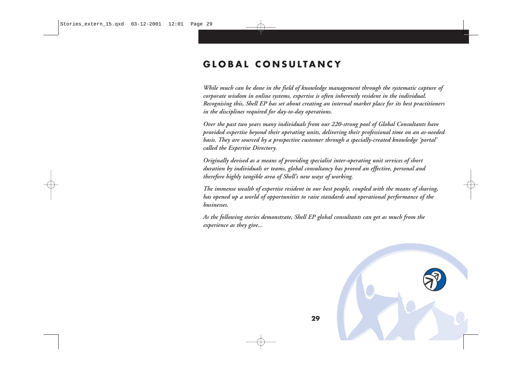## **GLOBAL CONSULTANCY**

*While much can be done in the field of knowledge management through the systematic capture of corporate wisdom in online systems, expertise is often inherently resident in the individual. Recognising this, Shell EP has set about creating an internal market place for its best practitioners in the disciplines required for day-to-day operations.*

*Over the past two years many individuals from our 220-strong pool of Global Consultants have provided expertise beyond their operating units, delivering their professional time on an as-needed basis. They are sourced by a prospective customer through a specially-created knowledge 'portal' called the Expertise Directory.* 

*Originally devised as a means of providing specialist inter-operating unit services of short duration by individuals or teams, global consultancy has proved an effective, personal and therefore highly tangible area of Shell's new ways of working.*

*The immense wealth of expertise resident in our best people, coupled with the means of sharing, has opened up a world of opportunities to raise standards and operational performance of the businesses.* 

*As the following stories demonstrate, Shell EP global consultants can get as much from the experience as they give...*

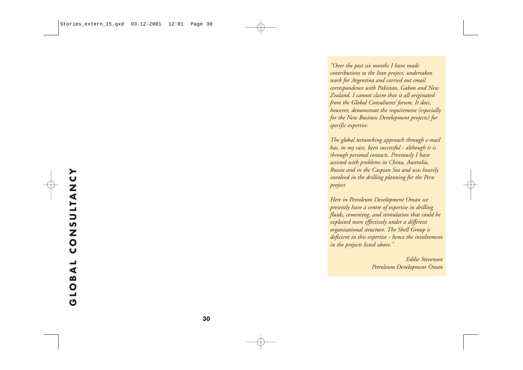*"Over the past six months I have made contributions to the Iran project, undertaken work for Argentina and carried out email correspondence with Pakistan, Gabon and New Zealand. I cannot claim that it all originated from the Global Consultants' forum. It does, however, demonstrate the requirement (especially for the New Business Development projects) for specific expertise.* 

*The global networking approach through e-mail has, in my case, been successful - although it is through personal contacts. Previously I have assisted with problems in China, Australia, Russia and in the Caspian Sea and was heavily involved in the drilling planning for the Peru project*

*Here in Petroleum Development Oman we presently have a centre of expertise in drilling fluids, cementing, and stimulation that could be exploited more effectively under a different organisational structure. The Shell Group is deficient in this expertise - hence the involvement in the projects listed above."* 

> *Eddie Stevenson Petroleum Development Oman*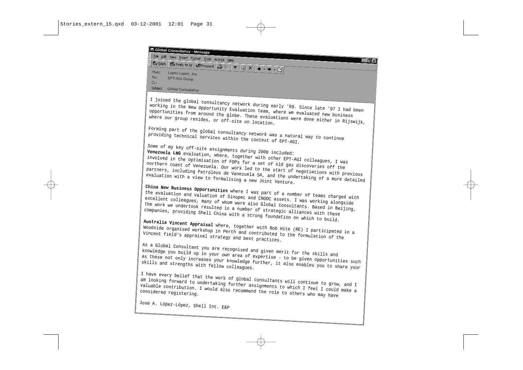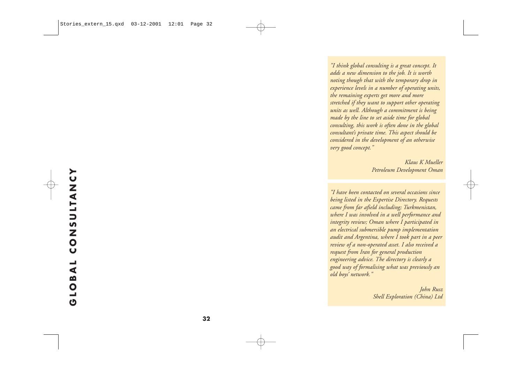*"I think global consulting is a great concept. It adds a new dimension to the job. It is worth noting though that with the temporary drop in experience levels in a number of operating units, the remaining experts get more and more stretched if they want to support other operating units as well. Although a commitment is being made by the line to set aside time for global consulting, this work is often done in the global consultant's private time. This aspect should be considered in the development of an otherwise very good concept."* 

> *Klaus K Mueller Petroleum Development Oman*

*"I have been contacted on several occasions since being listed in the Expertise Directory. Requests came from far afield including; Turkmenistan, where I was involved in a well performance and integrity review; Oman where I participated in an electrical submersible pump implementation audit and Argentina, where I took part in a peer review of a non-operated asset. I also received a request from Iran for general production engineering advice. The directory is clearly a good way of formalising what was previously an old boys' network."* 

> *John Rusz Shell Exploration (China) Ltd*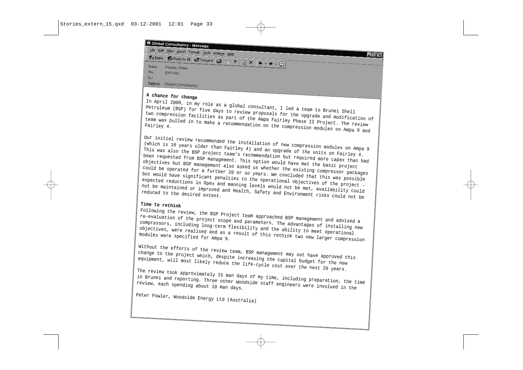

A chance for change<br>In April 2000, in my role as a global consultant, I led a team to Brunei Shell Petroleum (BSP) for five days to review proposals for the upgrade and modification of<br>two compression facilities as part of the Ampa Fairley Phase II Project. The review<br>team was pulled in to make a recommendation on the c

Our initial review recommended the installation of new compression modules on Ampa 9 (which is 10 years older than Fairley 4) and an upgrade of the units on Fairley 4.<br>This was also the BSP project team's recommendation b

Time to rethink<br>Following the review, the BSP Project team approached BSP management and advised a re-evaluation of the project scope and parameters. The advantages of installing new<br>compressors, including long-term flexibility and the ability to meet operational<br>objectives, were realised and as a result of this rethink

Without the efforts of the review team, BSP management may not have approved this<br>change to the project which, despite increasing the capital budget for the new<br>equipment, will most likely reduce the life-cycle cost over t

Peter Fowler, Woodside Energy Ltd (Australia)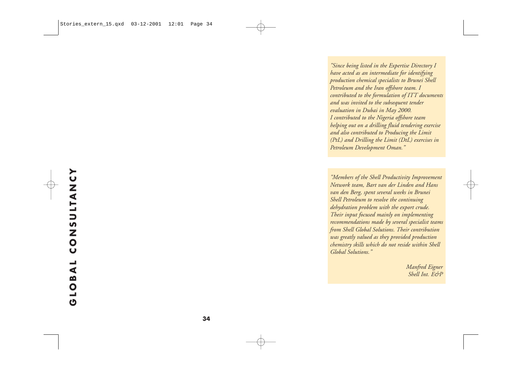*"Since being listed in the Expertise Directory I have acted as an intermediate for identifying production chemical specialists to Brunei Shell Petroleum and the Iran offshore team. I contributed to the formulation of ITT documents and was invited to the subsequent tender evaluation in Dubai in May 2000. I contributed to the Nigeria offshore team helping out on a drilling fluid tendering exercise and also contributed to Producing the Limit (PtL) and Drilling the Limit (DtL) exercises in Petroleum Development Oman."*

*"Members of the Shell Productivity Improvement Network team, Bart van der Linden and Hans van den Berg, spent several weeks in Brunei Shell Petroleum to resolve the continuing dehydration problem with the export crude. Their input focused mainly on implementing recommendations made by several specialist teams from Shell Global Solutions. Their contribution was greatly valued as they provided production chemistry skills which do not reside within Shell Global Solutions."*

> *Manfred Eigner Shell Int. E&P*

**GLOBAL CONSULTANCY**

GLOBAL

**CONSULTANC**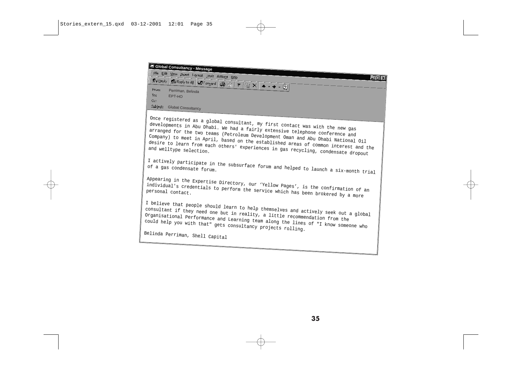**Global Consultancy - Message<br>|| Eile Edit View Insert F<u>o</u>rmat Iools Actions Help**  $\Box$  $\times$ **R**eply **Reply to All 40 Forward**  $\bigoplus$  **<b>B**  $\uparrow$   $\uparrow$  **B**  $\times$   $\rightarrow$   $\rightarrow$   $\rightarrow$   $\uparrow$  **Q** From: To: EPT-HO Cc: Subject: Global Consultancy Once registered as a global consultant, my first contact was with the new gas<br>developments in Abu Dhabi. We had a fairly extensive telephone conference and<br>arranged for the two teams (Petroleum Development Oman and Abu Dha I actively participate in the subsurface forum and helped to launch a six-month trial Appearing in the Expertise Directory, our 'Yellow Pages', is the confirmation of an<br>individual's credentials to perform the service which has been brokered by a more I believe that people should learn to help themselves and actively seek out a global<br>consultant if they need one but in reality, a little recommendation from the<br>Organisational Performance and Learning team along the lines Belinda Perriman, Shell Capital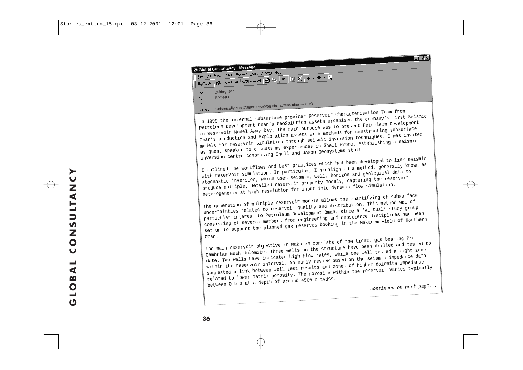|          | Global Consultancy - Message                               |
|----------|------------------------------------------------------------|
|          | File Edit View Insert Format Tools Actions Help            |
|          |                                                            |
|          |                                                            |
|          | Buiting, Jan                                               |
| From:    | <b>EPT-HO</b>                                              |
| To:      |                                                            |
| Cc:      | Seismically constrained reservoir characterisation - PDO   |
| Subject: |                                                            |
|          | 1 unboundade provider Reservoir Characterisation Team from |
|          |                                                            |

Petroleum Development Oman's GeoSolution assets organised the company's first Seismic<br>to Reservoir Model Away Day. The main purpose was to present Petroleum Development<br>Oman's production and exploration assets with methods

with reservoir simulation. In particular, I highlighted a method, generally known as<br>stochastic inversion, which uses seismic, well, horizon and geological data to<br>produce multiple, detailed reservoir property models, capt

uncertainties related to reservoir quality and distribution. This method was of<br>particular interest to Petroleum Development Oman, since a 'virtual' study group<br>consisting of several members from engineering and geoscience

Oman. The main reservoir objective in Makarem consists of the tight, gas bearing Pre- Cambrian Buah dolomite. Three wells on the structure have been drilled and tested to date. Two wells have indicated high flow rates, while one well tested a tight zone within the reservoir interval. An early review based

 $\overline{\Pi}$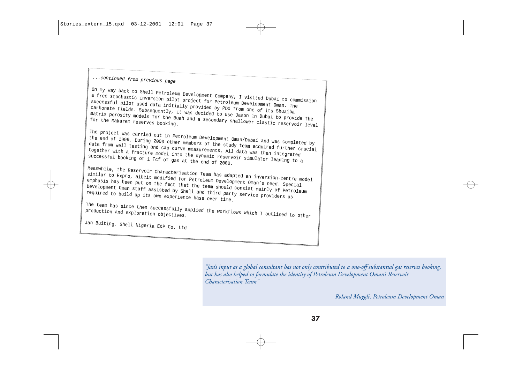...continued from previous page

On my way back to Shell Petroleum Development Company, I visited Dubai to commission<br>a free stochastic inversion pilot project for Petroleum Development Oman. The<br>successful pilot used data initially provided by PDO from o

The project was carried out in Petroleum Development Oman/Dubai and was completed by<br>the end of 1999. During 2000 other members of the study team acquired further crucial<br>data from well testing and cap curve measurements.

similar to Expro, albeit modified for Petroleum Development Oman's need. Special<br>emphasis has been put on the fact that the team should consist mainly of Petroleum<br>Development Oman staff assisted by Shell and third party s

The team has since then successfully applied the workflows which I outlined to other

Jan Buiting, Shell Nigeria E&P Co. Ltd

*"Jan's input as a global consultant has not only contributed to a one-off substantial gas reserves booking, but has also helped to formulate the identity of Petroleum Development Oman's Reservoir Characterisation Team"* 

*Roland Muggli, Petroleum Development Oman*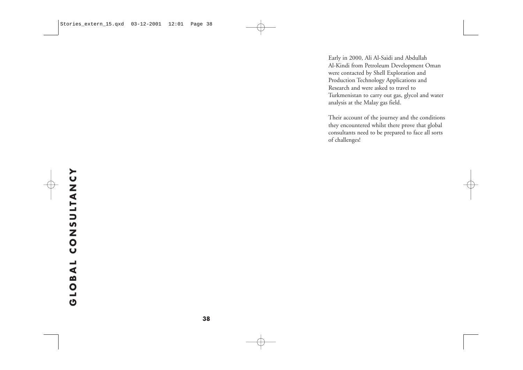Early in 2000, Ali Al-Saidi and Abdullah Al-Kindi from Petroleum Development Oman were contacted by Shell Exploration and Production Technology Applications and Research and were asked to travel to Turkmenistan to carry out gas, glycol and water analysis at the Malay gas field.

Their account of the journey and the conditions they encountered whilst there prove that global consultants need to be prepared to face all sorts of challenges!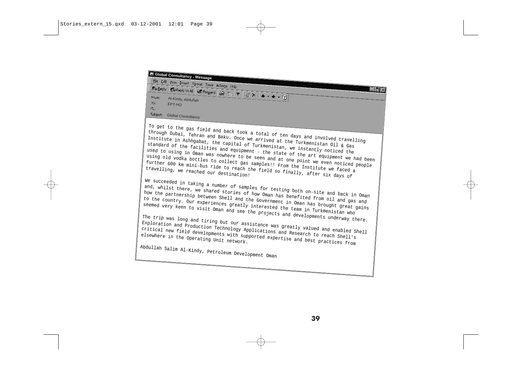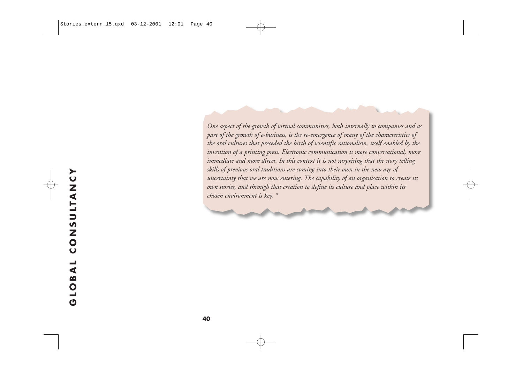*One aspect of the growth of virtual communities, both internally to companies and as part of the growth of e-business, is the re-emergence of many of the characteristics of the oral cultures that preceded the birth of scientific rationalism, itself enabled by the invention of a printing press. Electronic communication is more conversational, more immediate and more direct. In this context it is not surprising that the story telling skills of previous oral traditions are coming into their own in the new age of uncertainty that we are now entering. The capability of an organisation to create its own stories, and through that creation to define its culture and place within its chosen environment is key. \**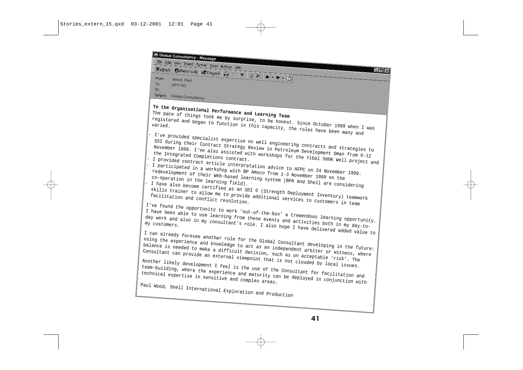| Reflective $\left  \mathbb{R}^n$ Reply to All $\left  \mathbb{Q} \right $ Forward $\left  \bigoplus \mathbb{R} \right  \left  \mathbb{Y} \right $ $\left  \bigoplus \mathbb{X} \right $ 4<br>- 101 x<br>From:<br>Wood, Paul<br>To:<br>EPT-HO<br>$C_{C}$<br>Subject:<br><b>Global Consultancy</b><br>To the Organisational Performance and Learning Team<br>The pace of things took me by surprise, to be honest. Since October 1999 when I was<br>registered and began to function in this capacity, the roles have been many and<br>I've provided specialist expertise on well engineering contracts and strategies to<br>SSI during their Contract Strategy Review in Petroleum Development Oman from 6-12<br>November 1999. I've also assisted with workshops for the Yibal 500K Well project and<br>I provided contract article interpretation advice to AFPC on 24 November 1999.<br>I participated in a workshop with BP Amoco from 1-3 November 1999 on the<br>redevelopment of their Web-based learning system (BPA and Shell are considering<br>I have also become certified as an SDI © (Strength Deployment Inventory) teamwork<br>skills trainer to allow me to provide additional services to customers in team<br>facilitation and conflict resolution.<br>I've found the opportunity to work 'out-of-the-box' a tremendous learning opportunity.<br>I have been able to use learning from these events and activities both in my day-to-<br>day work and also in my consultant's role. I also hope I have delivered added value to<br>I can already foresee another role for the Global Consultant developing in the future:<br>using the experience and knowledge to act as an independent arbiter or witness, where<br>balance is needed to make a difficult decision, such as on acceptable 'risk'. The<br>Consultant can provide an external viewpoint that is not clouded by local issues.<br>Another likely development I feel is the use of the Consultant for facilitation and<br>team-building, where the experience and maturity can be deployed in conjunction with | Global Consultancy - Message                              |
|-----------------------------------------------------------------------------------------------------------------------------------------------------------------------------------------------------------------------------------------------------------------------------------------------------------------------------------------------------------------------------------------------------------------------------------------------------------------------------------------------------------------------------------------------------------------------------------------------------------------------------------------------------------------------------------------------------------------------------------------------------------------------------------------------------------------------------------------------------------------------------------------------------------------------------------------------------------------------------------------------------------------------------------------------------------------------------------------------------------------------------------------------------------------------------------------------------------------------------------------------------------------------------------------------------------------------------------------------------------------------------------------------------------------------------------------------------------------------------------------------------------------------------------------------------------------------------------------------------------------------------------------------------------------------------------------------------------------------------------------------------------------------------------------------------------------------------------------------------------------------------------------------------------------------------------------------------------------------------------------------------------------------------------------------------------------------------------------------|-----------------------------------------------------------|
|                                                                                                                                                                                                                                                                                                                                                                                                                                                                                                                                                                                                                                                                                                                                                                                                                                                                                                                                                                                                                                                                                                                                                                                                                                                                                                                                                                                                                                                                                                                                                                                                                                                                                                                                                                                                                                                                                                                                                                                                                                                                                               | File Edit View Insert Format Tools Actions Help           |
|                                                                                                                                                                                                                                                                                                                                                                                                                                                                                                                                                                                                                                                                                                                                                                                                                                                                                                                                                                                                                                                                                                                                                                                                                                                                                                                                                                                                                                                                                                                                                                                                                                                                                                                                                                                                                                                                                                                                                                                                                                                                                               | Paul Wood, Shell International Exploration and Production |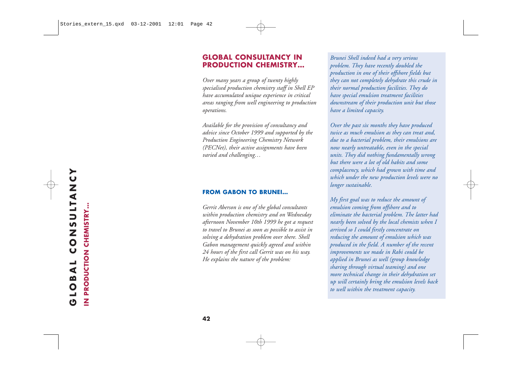#### **GLOBAL CONSULTANCY IN PRODUCTION CHEMISTRY…**

*Over many years a group of twenty highly specialised production chemistry staff in Shell EP have accumulated unique experience in critical areas ranging from well engineering to production operations.* 

*Available for the provision of consultancy and advice since October 1999 and supported by the Production Engineering Chemistry Network (PECNet), their active assignments have been varied and challenging…*

#### **FROM GABON TO BRUNEI…**

*Gerrit Aberson is one of the global consultants within production chemistry and on Wednesday afternoon November 10th 1999 he got a request to travel to Brunei as soon as possible to assist in solving a dehydration problem over there. Shell Gabon management quickly agreed and within 24 hours of the first call Gerrit was on his way. He explains the nature of the problem:* 

*Brunei Shell indeed had a very serious problem. They have recently doubled the production in one of their offshore fields but they can not completely dehydrate this crude in their normal production facilities. They do have special emulsion treatment facilities downstream of their production unit but those have a limited capacity.*

*Over the past six months they have produced twice as much emulsion as they can treat and, due to a bacterial problem, their emulsions are now nearly untreatable, even in the special units. They did nothing fundamentally wrong but there were a lot of old habits and some complacency, which had grown with time and which under the new production levels were no longer sustainable.*

*My first goal was to reduce the amount of emulsion coming from offshore and to eliminate the bacterial problem. The latter had nearly been solved by the local chemists when I arrived so I could firstly concentrate on reducing the amount of emulsion which was produced in the field. A number of the recent improvements we made in Rabi could be applied in Brunei as well (group knowledge sharing through virtual teaming) and one more technical change in their dehydration set up will certainly bring the emulsion levels back to well within the treatment capacity.* 

**IN PRODUCTION CHEMISTRY…**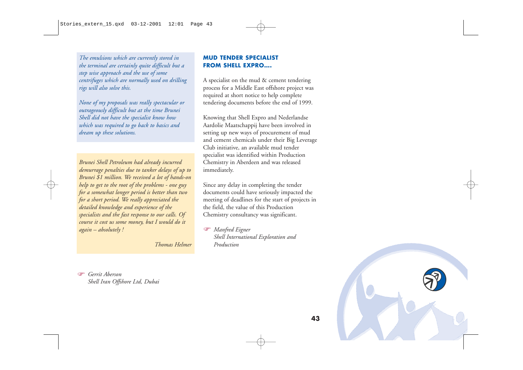*The emulsions which are currently stored in the terminal are certainly quite difficult but a step wise approach and the use of some centrifuges which are normally used on drilling rigs will also solve this.*

*None of my proposals was really spectacular or outrageously difficult but at the time Brunei Shell did not have the specialist know how which was required to go back to basics and dream up these solutions.*

*Brunei Shell Petroleum had already incurred demurrage penalties due to tanker delays of up to Brunei \$1 million. We received a lot of hands-on help to get to the root of the problems - one guy for a somewhat longer period is better than two for a short period. We really appreciated the detailed knowledge and experience of the specialists and the fast response to our calls. Of course it cost us some money, but I would do it again – absolutely !*

*Thomas Helmer*

#### **MUD TENDER SPECIALIST FROM SHELL EXPRO….**

A specialist on the mud & cement tendering process for a Middle East offshore project was required at short notice to help complete tendering documents before the end of 1999.

Knowing that Shell Expro and Nederlandse Aardolie Maatschappij have been involved in setting up new ways of procurement of mud and cement chemicals under their Big Leverage Club initiative, an available mud tender specialist was identified within Production Chemistry in Aberdeen and was released immediately.

Since any delay in completing the tender documents could have seriously impacted the meeting of deadlines for the start of projects in the field, the value of this Production Chemistry consultancy was significant.

 *Manfred Eigner Shell International Exploration and Production*

 *Gerrit Aberson Shell Iran Offshore Ltd, Dubai*

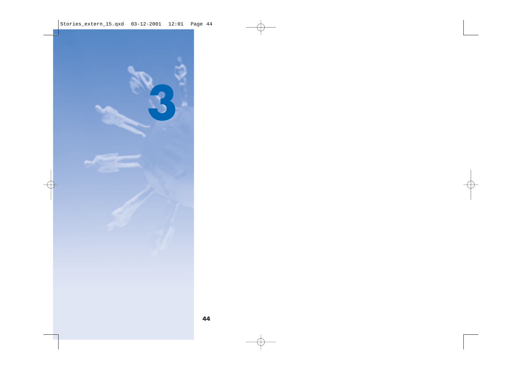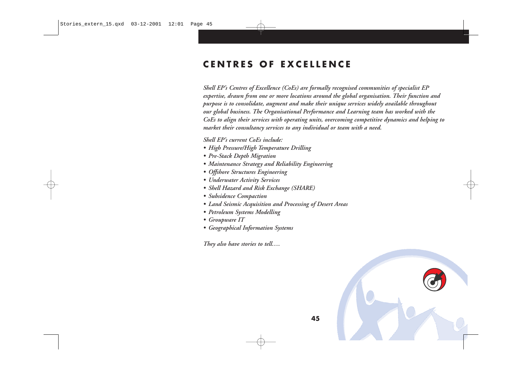#### **CENTRES OF EXCELLENCE**

*Shell EP's Centres of Excellence (CoEs) are formally recognised communities of specialist EP expertise, drawn from one or more locations around the global organisation. Their function and purpose is to consolidate, augment and make their unique services widely available throughout our global business. The Organisational Performance and Learning team has worked with the CoEs to align their services with operating units, overcoming competitive dynamics and helping to market their consultancy services to any individual or team with a need.* 

*Shell EP's current CoEs include:*

- *• High Pressure/High Temperature Drilling*
- *• Pre-Stack Depth Migration*
- *• Maintenance Strategy and Reliability Engineering*
- *• Offshore Structures Engineering*
- *• Underwater Activity Services*
- *• Shell Hazard and Risk Exchange (SHARE)*
- *• Subsidence Compaction*
- *• Land Seismic Acquisition and Processing of Desert Areas*
- *• Petroleum Systems Modelling*
- *• Groupware IT*
- *• Geographical Information Systems*

*They also have stories to tell….*

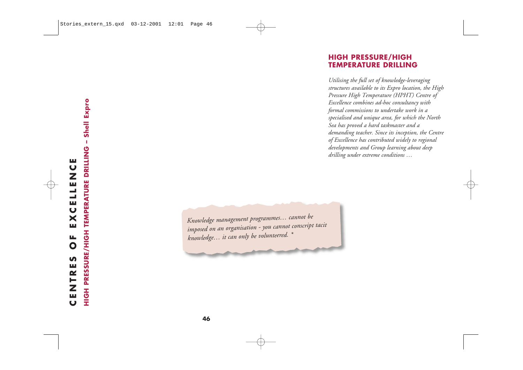#### **HIGH PRESSURE/HIGH TEMPERATURE DRILLING**

*Utilising the full set of knowledge-leveraging structures available to its Expro location, the High Pressure High Temperature (HPHT) Centre of Excellence combines ad-hoc consultancy with formal commissions to undertake work in a specialised and unique area, for which the North Sea has proved a hard taskmaster and a demanding teacher. Since its inception, the Centre of Excellence has contributed widely to regional developments and Group learning about deep drilling under extreme conditions …*

*Knowledge management programmes… cannot be imposed on an organisation - you cannot conscript tacit knowledge… it can only be volunteered. \**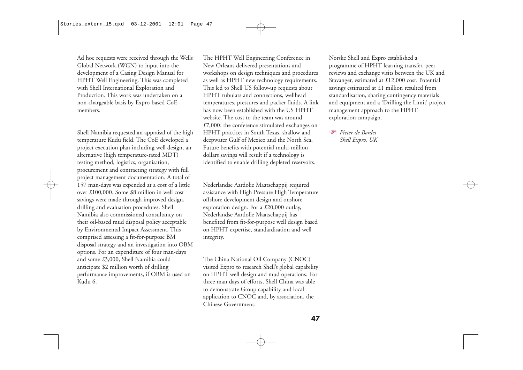Ad hoc requests were received through the Wells Global Network (WGN) to input into the development of a Casing Design Manual for HPHT Well Engineering. This was completed with Shell International Exploration and Production. This work was undertaken on a non-chargeable basis by Expro-based CoE members.

Shell Namibia requested an appraisal of the high temperature Kudu field. The CoE developed a project execution plan including well design, an alternative (high temperature-rated MDT) testing method, logistics, organisation, procurement and contracting strategy with full project management documentation. A total of 157 man-days was expended at a cost of a little over £100,000. Some \$8 million in well cost savings were made through improved design, drilling and evaluation procedures. Shell Namibia also commissioned consultancy on their oil-based mud disposal policy acceptable by Environmental Impact Assessment. This comprised assessing a fit-for-purpose BM disposal strategy and an investigation into OBM options. For an expenditure of four man-days and some £3,000, Shell Namibia could anticipate \$2 million worth of drilling performance improvements, if OBM is used on Kudu 6.

The HPHT Well Engineering Conference in New Orleans delivered presentations and workshops on design techniques and procedures as well as HPHT new technology requirements. This led to Shell US follow-up requests about HPHT tubulars and connections, wellhead temperatures, pressures and packer fluids. A link has now been established with the US HPHT website. The cost to the team was around £7,000: the conference stimulated exchanges on HPHT practices in South Texas, shallow and deepwater Gulf of Mexico and the North Sea. Future benefits with potential multi-million dollars savings will result if a technology is identified to enable drilling depleted reservoirs.

Nederlandse Aardolie Maatschappij required assistance with High Pressure High Temperature offshore development design and onshore exploration design. For a £20,000 outlay, Nederlandse Aardolie Maatschappij has benefited from fit-for-purpose well design based on HPHT expertise, standardisation and well integrity.

The China National Oil Company (CNOC) visited Expro to research Shell's global capability on HPHT well design and mud operations. For three man days of efforts, Shell China was able to demonstrate Group capability and local application to CNOC and, by association, the Chinese Government.

Norske Shell and Expro established a programme of HPHT learning transfer, peer reviews and exchange visits between the UK and Stavanger, estimated at £12,000 cost. Potential savings estimated at £1 million resulted from standardisation, sharing contingency materials and equipment and a 'Drilling the Limit' project management approach to the HPHT exploration campaign.

 *Pieter de Bordes Shell Expro, UK*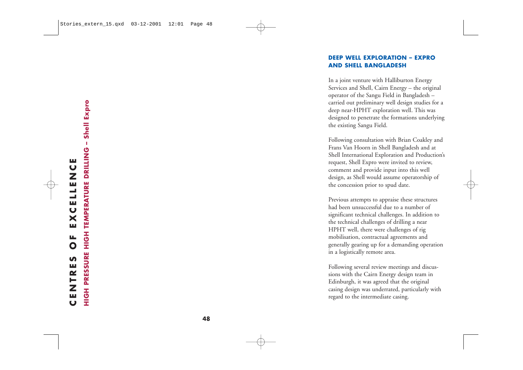#### **DEEP WELL EXPLORATION – EXPRO AND SHELL BANGLADESH**

In a joint venture with Halliburton Energy Services and Shell, Cairn Energy – the original operator of the Sangu Field in Bangladesh – carried out preliminary well design studies for a deep near-HPHT exploration well. This was designed to penetrate the formations underlying the existing Sangu Field.

Following consultation with Brian Coakley and Frans Van Hoorn in Shell Bangladesh and at Shell International Exploration and Production's request, Shell Expro were invited to review, comment and provide input into this well design, as Shell would assume operatorship of the concession prior to spud date.

Previous attempts to appraise these structures had been unsuccessful due to a number of significant technical challenges. In addition to the technical challenges of drilling a near HPHT well, there were challenges of rig mobilisation, contractual agreements and generally gearing up for a demanding operation in a logistically remote area.

Following several review meetings and discussions with the Cairn Energy design team in Edinburgh, it was agreed that the original casing design was underrated, particularly with regard to the intermediate casing.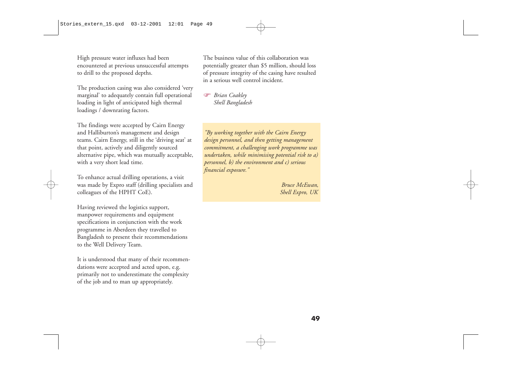High pressure water influxes had been encountered at previous unsuccessful attempts to drill to the proposed depths.

The production casing was also considered 'very marginal' to adequately contain full operational loading in light of anticipated high thermal loadings / downrating factors.

The findings were accepted by Cairn Energy and Halliburton's management and design teams. Cairn Energy, still in the 'driving seat' at that point, actively and diligently sourced alternative pipe, which was mutually acceptable, with a very short lead time.

To enhance actual drilling operations, a visit was made by Expro staff (drilling specialists and colleagues of the HPHT CoE).

Having reviewed the logistics support, manpower requirements and equipment specifications in conjunction with the work programme in Aberdeen they travelled to Bangladesh to present their recommendations to the Well Delivery Team.

It is understood that many of their recommendations were accepted and acted upon, e.g. primarily not to underestimate the complexity of the job and to man up appropriately.

The business value of this collaboration was potentially greater than \$5 million, should loss of pressure integrity of the casing have resulted in a serious well control incident.

 *Brian Coakley Shell Bangladesh*

*"By working together with the Cairn Energy design personnel, and then getting management commitment, a challenging work programme was undertaken, while minimising potential risk to a) personnel, b) the environment and c) serious financial exposure."* 

> *Bruce McEwan, Shell Expro, UK*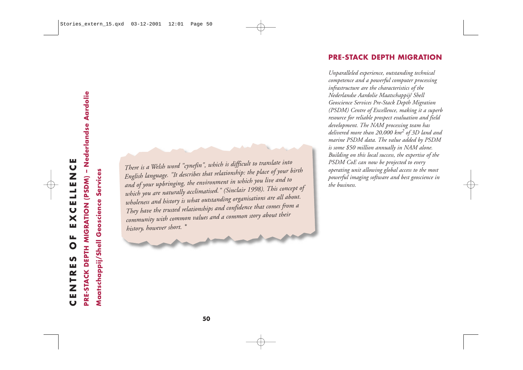# - Nederlandse Aardolie **CENTRES OF EXCELLENCE** EXCELLENC PRE-STACK DEPTH MIGRATION (PSDM) Ц.  $\bullet$ CENTRES

**PRE-STACK DEPTH MIGRATION (PSDM) – Nederlandse Aardolie**

There is a Welsh word "cynefin", which is difficult to translate into<br>English language. "It describes that relationship: the place of your land of your upbringing, the environment in which you live and to<br>which you are nat

*history, however short. \**

**PRE-STACK DEPTH MIGRATION**

*Unparalleled experience, outstanding technical competence and a powerful computer processing infrastructure are the characteristics of the Nederlandse Aardolie Maatschappij/ Shell Geoscience Services Pre-Stack Depth Migration (PSDM) Centre of Excellence, making it a superb resource for reliable prospect evaluation and field development. The NAM processing team has delivered more than 20,000 km<sup>2</sup> of 3D land and marine PSDM data. The value added by PSDM is some \$50 million annually in NAM alone. Building on this local success, the expertise of the PSDM CoE can now be projected to every operating unit allowing global access to the most powerful imaging software and best geoscience in the business.* 

*English language. "It describes that relationship: the place of your birth*

*which you are naturally acclimatised." (Sinclair 1998). This concept of*

*wholeness and history is what outstanding organisations are all about. They have the trusted relationships and confidence that comes from a community with common values and a common story about their*

*and of your upbringing, the environment in which you live and to*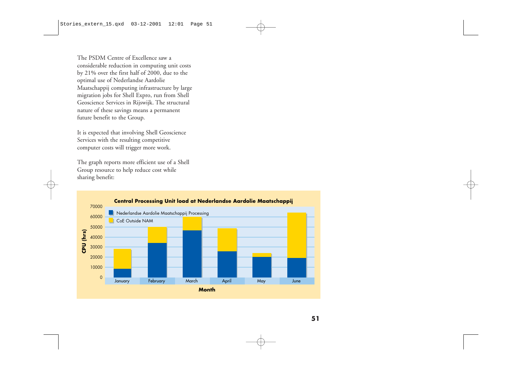The PSDM Centre of Excellence saw a considerable reduction in computing unit costs by 21% over the first half of 2000, due to the optimal use of Nederlandse Aardolie Maatschappij computing infrastructure by large migration jobs for Shell Expro, run from Shell Geoscience Services in Rijswijk. The structural nature of these savings means a permanent future benefit to the Group.

It is expected that involving Shell Geoscience Services with the resulting competitive computer costs will trigger more work.

The graph reports more efficient use of a Shell Group resource to help reduce cost while sharing benefit:

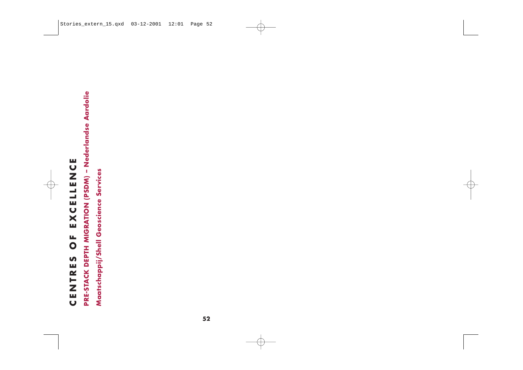# CENTRES OF EXCELLENCE **CENTRES OF EXCELLENCE**

# PRE-STACK DEPTH MIGRATION (PSDM) - Nederlandse Aardolie **PRE-STACK DEPTH MIGRATION (PSDM) – Nederlandse Aardolie**

Maatschappij/Shell Geoscience Services **Maatschappij/Shell Geoscience Services**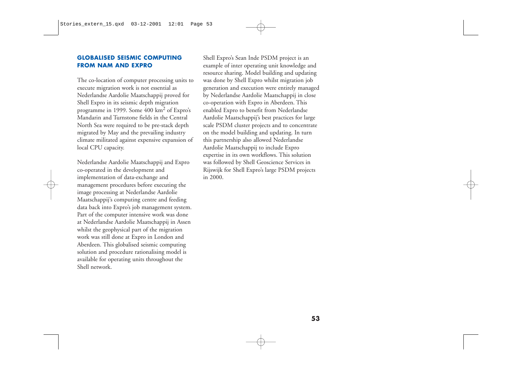#### **GLOBALISED SEISMIC COMPUTING FROM NAM AND EXPRO**

The co-location of computer processing units to execute migration work is not essential as Nederlandse Aardolie Maatschappij proved for Shell Expro in its seismic depth migration programme in 1999. Some 400 km<sup>2</sup> of Expro's Mandarin and Turnstone fields in the Central North Sea were required to be pre-stack depth migrated by May and the prevailing industry climate militated against expensive expansion of local CPU capacity.

Nederlandse Aardolie Maatschappij and Expro co-operated in the development and implementation of data-exchange and management procedures before executing the image processing at Nederlandse Aardolie Maatschappij's computing centre and feeding data back into Expro's job management system. Part of the computer intensive work was done at Nederlandse Aardolie Maatschappij in Assen whilst the geophysical part of the migration work was still done at Expro in London and Aberdeen. This globalised seismic computing solution and procedure rationalising model is available for operating units throughout the Shell network.

Shell Expro's Sean Inde PSDM project is an example of inter operating unit knowledge and resource sharing. Model building and updating was done by Shell Expro whilst migration job generation and execution were entirely managed by Nederlandse Aardolie Maatschappij in close co-operation with Expro in Aberdeen. This enabled Expro to benefit from Nederlandse Aardolie Maatschappij's best practices for large scale PSDM cluster projects and to concentrate on the model building and updating. In turn this partnership also allowed Nederlandse Aardolie Maatschappij to include Expro expertise in its own workflows. This solution was followed by Shell Geoscience Services in Rijswijk for Shell Expro's large PSDM projects in 2000.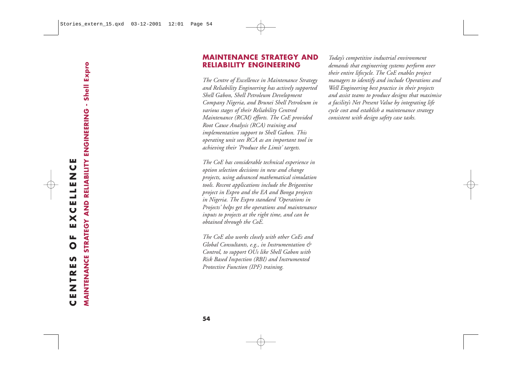#### **MAINTENANCE STRATEGY AND RELIABILITY ENGINEERING**

*The Centre of Excellence in Maintenance Strategy and Reliability Engineering has actively supported Shell Gabon, Shell Petroleum Development Company Nigeria, and Brunei Shell Petroleum in various stages of their Reliability Centred Maintenance (RCM) efforts. The CoE provided Root Cause Analysis (RCA) training and implementation support to Shell Gabon. This operating unit sees RCA as an important tool in achieving their 'Produce the Limit' targets.*

*The CoE has considerable technical experience in option selection decisions in new and change projects, using advanced mathematical simulation tools. Recent applications include the Brigantine project in Expro and the EA and Bonga projects in Nigeria. The Expro standard 'Operations in Projects' helps get the operations and maintenance inputs to projects at the right time, and can be obtained through the CoE.*

*The CoE also works closely with other CoEs and Global Consultants, e.g., in Instrumentation & Control, to support OUs like Shell Gabon with Risk Based Inspection (RBI) and Instrumented Protective Function (IPF) training.*

*Today's competitive industrial environment demands that engineering systems perform over their entire lifecycle. The CoE enables project managers to identify and include Operations and Well Engineering best practice in their projects and assist teams to produce designs that maximise a facility's Net Present Value by integrating life cycle cost and establish a maintenance strategy consistent with design safety case tasks.*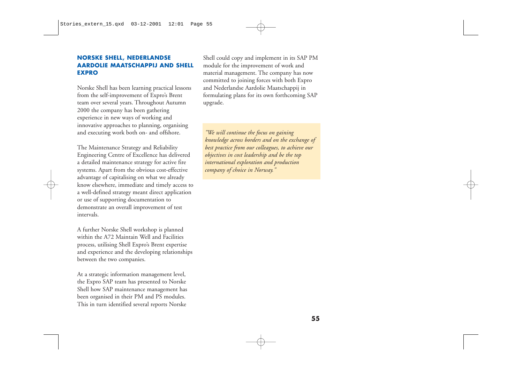#### **NORSKE SHELL, NEDERLANDSE AARDOLIE MAATSCHAPPIJ AND SHELL EXPRO**

Norske Shell has been learning practical lessons from the self-improvement of Expro's Brent team over several years. Throughout Autumn 2000 the company has been gathering experience in new ways of working and innovative approaches to planning, organising and executing work both on- and offshore.

The Maintenance Strategy and Reliability Engineering Centre of Excellence has delivered a detailed maintenance strategy for active fire systems. Apart from the obvious cost-effective advantage of capitalising on what we already know elsewhere, immediate and timely access to a well-defined strategy meant direct application or use of supporting documentation to demonstrate an overall improvement of test intervals.

A further Norske Shell workshop is planned within the A72 Maintain Well and Facilities process, utilising Shell Expro's Brent expertise and experience and the developing relationships between the two companies.

At a strategic information management level, the Expro SAP team has presented to Norske Shell how SAP maintenance management has been organised in their PM and PS modules. This in turn identified several reports Norske

Shell could copy and implement in its SAP PM module for the improvement of work and material management. The company has now committed to joining forces with both Expro and Nederlandse Aardolie Maatschappij in formulating plans for its own forthcoming SAP upgrade.

*"We will continue the focus on gaining knowledge across borders and on the exchange of best practice from our colleagues, to achieve our objectives in cost leadership and be the top international exploration and production company of choice in Norway."*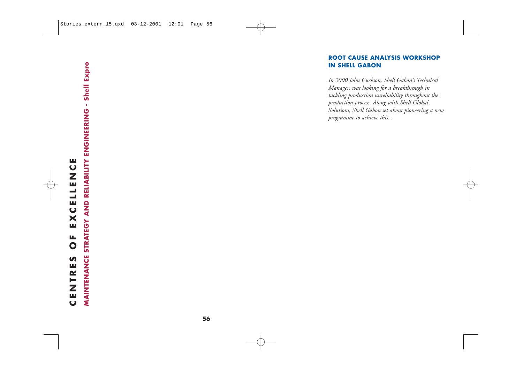#### **ROOT CAUSE ANALYSIS WORKSHOP IN SHELL GABON**

*In 2000 John Cuckson, Shell Gabon's Technical Manager, was looking for a breakthrough in tackling production unreliability throughout the production process. Along with Shell Global Solutions, Shell Gabon set about pioneering a new programme to achieve this...*

#### **56**

## STRATEGY AND RELIABILITY ENGINEERING - Shell Expro **MAINTENANCE STRATEGY AND RELIABILITY ENGINEERING - Shell Expro** щ **CENTRES OF EXCELLENCE LLENC** EXCE **LL**  $\mathbf O$ **MAINTENANCE** S CENTRE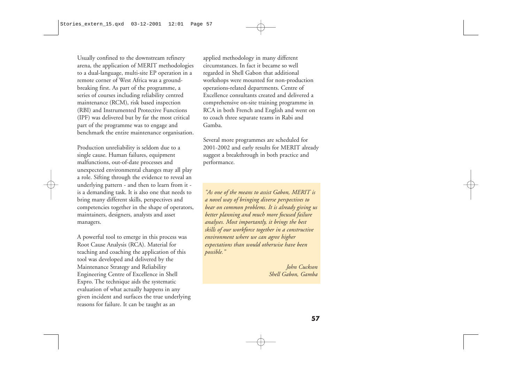Usually confined to the downstream refinery arena, the application of MERIT methodologies to a dual-language, multi-site EP operation in a remote corner of West Africa was a groundbreaking first. As part of the programme, a series of courses including reliability centred maintenance (RCM), risk based inspection (RBI) and Instrumented Protective Functions (IPF) was delivered but by far the most critical part of the programme was to engage and benchmark the entire maintenance organisation.

Production unreliability is seldom due to a single cause. Human failures, equipment malfunctions, out-of-date processes and unexpected environmental changes may all play a role. Sifting through the evidence to reveal an underlying pattern - and then to learn from it is a demanding task. It is also one that needs to bring many different skills, perspectives and competencies together in the shape of operators, maintainers, designers, analysts and asset managers.

A powerful tool to emerge in this process was Root Cause Analysis (RCA). Material for teaching and coaching the application of this tool was developed and delivered by the Maintenance Strategy and Reliability Engineering Centre of Excellence in Shell Expro. The technique aids the systematic evaluation of what actually happens in any <sup>g</sup>iven incident and surfaces the true underlying reasons for failure. It can be taught as an

applied methodology in many different circumstances. In fact it became so well regarded in Shell Gabon that additional workshops were mounted for non-production operations-related departments. Centre of Excellence consultants created and delivered a comprehensive on-site training programme in RCA in both French and English and went on to coach three separate teams in Rabi and Gamba.

Several more programmes are scheduled for 2001-2002 and early results for MERIT already suggest a breakthrough in both practice and performance.

*"As one of the means to assist Gabon, MERIT is a novel way of bringing diverse perspectives to bear on common problems. It is already giving us better planning and much more focused failure analyses. Most importantly, it brings the best skills of our workforce together in a constructive environment where we can agree higher expectations than would otherwise have been possible."*

> *John Cuckson Shell Gabon, Gamba*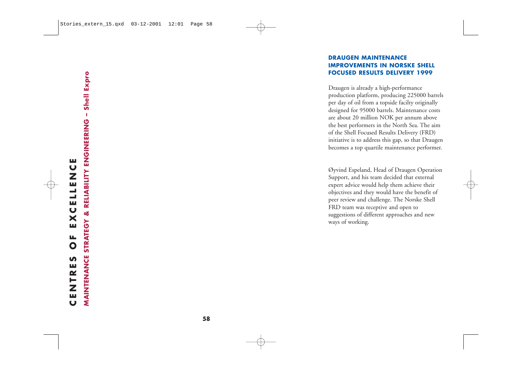#### **DRAUGEN MAINTENANCE IMPROVEMENTS IN NORSKE SHELL FOCUSED RESULTS DELIVERY 1999**

Draugen is already a high-performance production platform, producing 225000 barrels per day of oil from a topside facilty originally designed for 95000 barrels. Maintenance costs are about 20 million NOK per annum above the best performers in the North Sea. The aim of the Shell Focused Results Delivery (FRD) initiative is to address this gap, so that Draugen becomes a top quartile maintenance performer.

Øyvind Espeland, Head of Draugen Operation Support, and his team decided that external expert advice would help them achieve their objectives and they would have the benefit of peer review and challenge. The Norske Shell FRD team was receptive and open to suggestions of different approaches and new ways of working.

## щ **CENTRES OF EXCELLENCE** EXCELLENC ЦL.  $\mathbf O$ S CENTRE

STRATEGY & RELIABILITY ENGINEERING - Shell Expro **MAINTENANCE STRATEGY & RELIABILITY ENGINEERING – Shell Expro** MAINTENANCE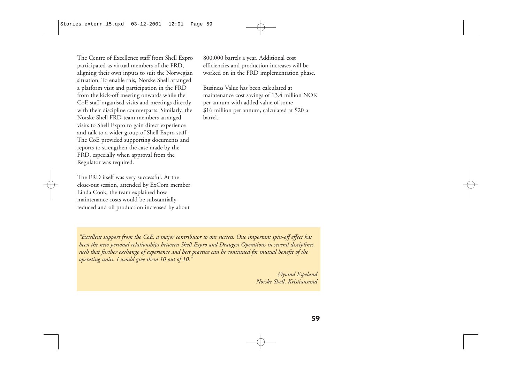The Centre of Excellence staff from Shell Expro participated as virtual members of the FRD, aligning their own inputs to suit the Norwegian situation. To enable this, Norske Shell arranged a platform visit and participation in the FRD from the kick-off meeting onwards while the CoE staff organised visits and meetings directly with their discipline counterparts. Similarly, the Norske Shell FRD team members arranged visits to Shell Expro to gain direct experience and talk to a wider group of Shell Expro staff. The CoE provided supporting documents and reports to strengthen the case made by the FRD, especially when approval from the Regulator was required.

The FRD itself was very successful. At the close-out session, attended by ExCom member Linda Cook, the team explained how maintenance costs would be substantially reduced and oil production increased by about

800,000 barrels a year. Additional cost efficiencies and production increases will be worked on in the FRD implementation phase.

Business Value has been calculated at maintenance cost savings of 13.4 million NOK per annum with added value of some \$16 million per annum, calculated at \$20 a barrel.

*"Excellent support from the CoE, a major contributor to our success. One important spin-off effect has been the new personal relationships between Shell Expro and Draugen Operations in several disciplines such that further exchange of experience and best practice can be continued for mutual benefit of the operating units. I would give them 10 out of 10."*

> *Øyvind Espeland Norske Shell, Kristiansund*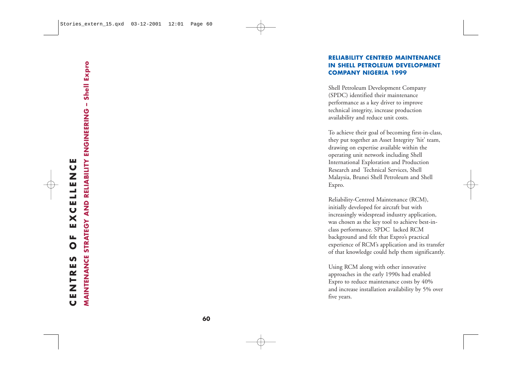#### **RELIABILITY CENTRED MAINTENANCE IN SHELL PETROLEUM DEVELOPMENT COMPANY NIGERIA 1999**

Shell Petroleum Development Company (SPDC) identified their maintenance performance as a key driver to improve technical integrity, increase production availability and reduce unit costs.

To achieve their goal of becoming first-in-class, they put together an Asset Integrity 'hit' team, drawing on expertise available within the operating unit network including Shell International Exploration and Production Research and Technical Services, Shell Malaysia, Brunei Shell Petroleum and Shell Expro.

Reliability-Centred Maintenance (RCM), initially developed for aircraft but with increasingly widespread industry application, was chosen as the key tool to achieve best-inclass performance. SPDC lacked RCM background and felt that Expro's practical experience of RCM's application and its transfer of that knowledge could help them significantly.

Using RCM along with other innovative approaches in the early 1990s had enabled Expro to reduce maintenance costs by 40% and increase installation availability by 5% over five years.

**MAINTENANCE STRATEGY AND RELIABILITY ENGINEERING – Shell Expro**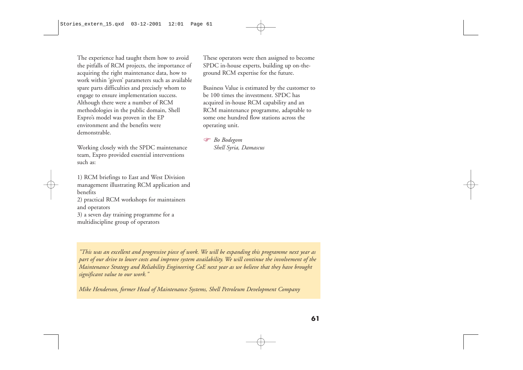The experience had taught them how to avoid the pitfalls of RCM projects, the importance of acquiring the right maintenance data, how to work within 'given' parameters such as available spare parts difficulties and precisely whom to engage to ensure implementation success. Although there were a number of RCM methodologies in the public domain, Shell Expro's model was proven in the EP environment and the benefits were demonstrable.

Working closely with the SPDC maintenance team, Expro provided essential interventions such as:

1) RCM briefings to East and West Division management illustrating RCM application and benefits 2) practical RCM workshops for maintainers and operators 3) a seven day training programme for a multidiscipline group of operators

These operators were then assigned to become SPDC in-house experts, building up on-theground RCM expertise for the future.

Business Value is estimated by the customer to be 100 times the investment. SPDC has acquired in-house RCM capability and an RCM maintenance programme, adaptable to some one hundred flow stations across the operating unit.

G *Bo Bodegom Shell Syria, Damascus*

*"This was an excellent and progressive piece of work. We will be expanding this programme next year as part of our drive to lower costs and improve system availability. We will continue the involvement of the Maintenance Strategy and Reliability Engineering CoE next year as we believe that they have brought significant value to our work."* 

*Mike Henderson, former Head of Maintenance Systems, Shell Petroleum Development Company*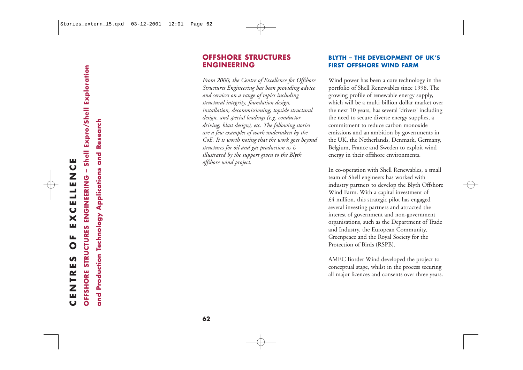#### **OFFSHORE STRUCTURES ENGINEERING**

*From 2000, the Centre of Excellence for Offshore Structures Engineering has been providing advice and services on a range of topics including structural integrity, foundation design, installation, decommissioning, topside structural design, and special loadings (e.g. conductor driving, blast design), etc. The following stories are a few examples of work undertaken by the CoE. It is worth noting that the work goes beyond structures for oil and gas production as is illustrated by the support given to the Blyth offshore wind project.*

#### **BLYTH – THE DEVELOPMENT OF UK'S FIRST OFFSHORE WIND FARM**

Wind power has been a core technology in the portfolio of Shell Renewables since 1998. The growing profile of renewable energy supply, which will be a multi-billion dollar market over the next 10 years, has several 'drivers' including the need to secure diverse energy supplies, a commitment to reduce carbon monoxide emissions and an ambition by governments in the UK, the Netherlands, Denmark, Germany, Belgium, France and Sweden to exploit wind energy in their offshore environments.

In co-operation with Shell Renewables, a small team of Shell engineers has worked with industry partners to develop the Blyth Offshore Wind Farm. With a capital investment of £4 million, this strategic pilot has engaged several investing partners and attracted the interest of government and non-government organisations, such as the Department of Trade and Industry, the European Community, Greenpeace and the Royal Society for the Protection of Birds (RSPB).

AMEC Border Wind developed the project to conceptual stage, whilst in the process securing all major licences and consents over three years.

**OFFSHORE STRUCTURES ENGINEERING – Shell Expro/Shell Exploration**

**and Production Technology Applications and Research**

and Production Technology Applications and Research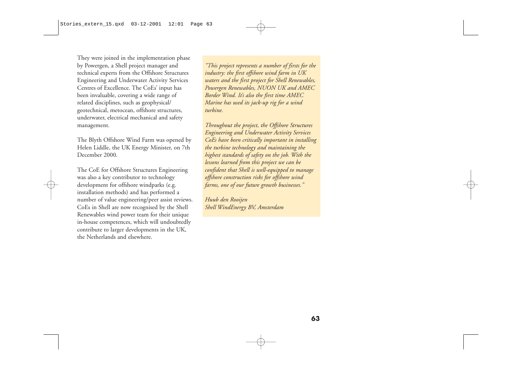They were joined in the implementation phase by Powergen, a Shell project manager and technical experts from the Offshore Structures Engineering and Underwater Activity Services Centres of Excellence. The CoEs' input has been invaluable, covering a wide range of related disciplines, such as geophysical/ geotechnical, metocean, offshore structures, underwater, electrical mechanical and safety management.

The Blyth Offshore Wind Farm was opened by Helen Liddle, the UK Energy Minister, on 7th December 2000.

The CoE for Offshore Structures Engineering was also a key contributor to technology development for offshore windparks (e.g. installation methods) and has performed a number of value engineering/peer assist reviews. CoEs in Shell are now recognised by the Shell Renewables wind power team for their unique in-house competences, which will undoubtedly contribute to larger developments in the UK, the Netherlands and elsewhere.

*"This project represents a number of firsts for the industry: the first offshore wind farm in UK waters and the first project for Shell Renewables, Powergen Renewables, NUON UK and AMEC Border Wind. It's also the first time AMEC Marine has used its jack-up rig for a wind turbine.*

*Throughout the project, the Offshore Structures Engineering and Underwater Activity Services CoEs have been critically important in installing the turbine technology and maintaining the highest standards of safety on the job. With the lessons learned from this project we can be confident that Shell is well-equipped to manage offshore construction risks for offshore wind farms, one of our future growth businesses."*

*Huub den Rooijen Shell WindEnergy BV, Amsterdam*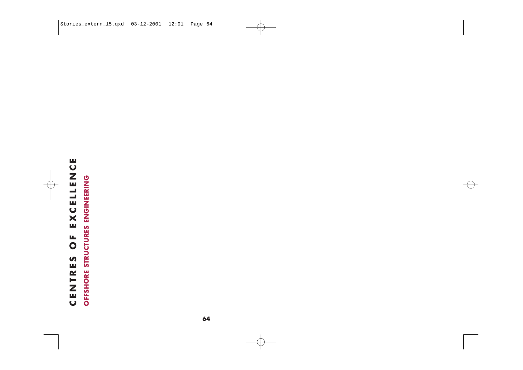# CENTRES OF EXCELLENCE **CENTRES OF EXCELLENCE**

OFFSHORE STRUCTURES ENGINEERING **OFFSHORE STRUCTURES ENGINEERING**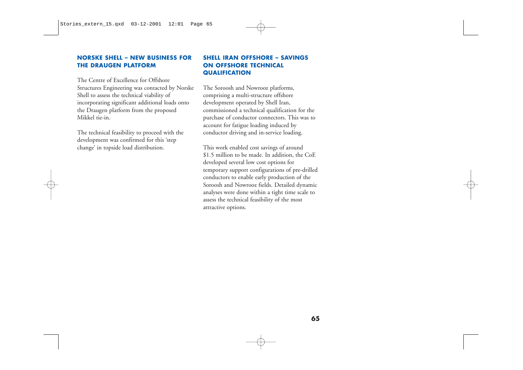#### **NORSKE SHELL – NEW BUSINESS FOR THE DRAUGEN PLATFORM**

The Centre of Excellence for Offshore Structures Engineering was contacted by Norske Shell to assess the technical viability of incorporating significant additional loads onto the Draugen platform from the proposed Mikkel tie-in.

The technical feasibility to proceed with the development was confirmed for this 'step change' in topside load distribution.

#### **SHELL IRAN OFFSHORE – SAVINGS ON OFFSHORE TECHNICAL QUALIFICATION**

The Soroosh and Nowrooz platforms, comprising a multi-structure offshore development operated by Shell Iran, commissioned a technical qualification for the purchase of conductor connectors. This was to account for fatigue loading induced by conductor driving and in-service loading.

This work enabled cost savings of around \$1.5 million to be made. In addition, the CoE developed several low cost options for temporary support configurations of pre-drilled conductors to enable early production of the Soroosh and Nowrooz fields. Detailed dynamic analyses were done within a tight time scale to assess the technical feasibility of the most attractive options.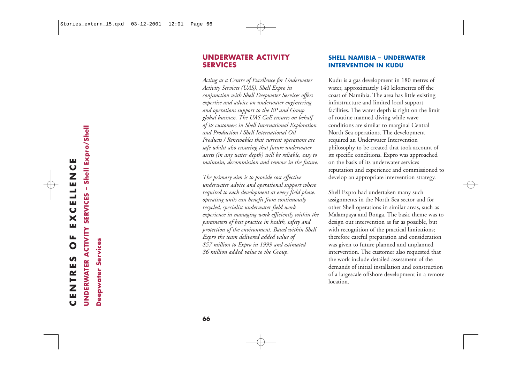#### **UNDERWATER ACTIVITY SERVICES**

*Acting as a Centre of Excellence for Underwater Activity Services (UAS), Shell Expro in conjunction with Shell Deepwater Services offers expertise and advice on underwater engineering and operations support to the EP and Group global business. The UAS CoE ensures on behalf of its customers in Shell International Exploration and Production / Shell International Oil Products / Renewables that current operations are safe whilst also ensuring that future underwater assets (in any water depth) will be reliable, easy to maintain, decommission and remove in the future.* 

*The primary aim is to provide cost effective underwater advice and operational support where required to each development at every field phase. operating units can benefit from continuously recycled, specialist underwater field work experience in managing work efficiently within the parameters of best practice in health, safety and protection of the environment. Based within Shell Expro the team delivered added value of \$57 million to Expro in 1999 and estimated \$6 million added value to the Group.* 

#### **SHELL NAMIBIA – UNDERWATER INTERVENTION IN KUDU**

Kudu is a gas development in 180 metres of water, approximately 140 kilometres off the coast of Namibia. The area has little existing infrastructure and limited local support facilities. The water depth is right on the limit of routine manned diving while wave conditions are similar to marginal Central North Sea operations. The development required an Underwater Intervention philosophy to be created that took account of its specific conditions. Expro was approached on the basis of its underwater services reputation and experience and commissioned to develop an appropriate intervention strategy.

Shell Expro had undertaken many such assignments in the North Sea sector and for other Shell operations in similar areas, such as Malampaya and Bonga. The basic theme was to design out intervention as far as possible, but with recognition of the practical limitations; therefore careful preparation and consideration was given to future planned and unplanned intervention. The customer also requested that the work include detailed assessment of the demands of initial installation and construction of a largescale offshore development in a remote location.

**UNDERWATER ACTIVITY SERVICES – Shell Expro/Shell**

**Deepwater Services**

Deepwater Services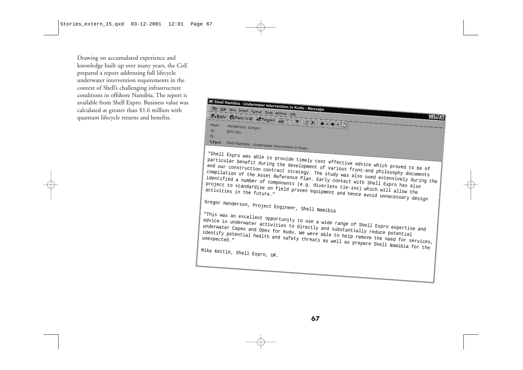Drawing on accumulated experience and knowledge built up over many years, the CoE prepared a report addressing full lifecycle underwater intervention requirements in the context of Shell's challenging infrastructure conditions in offshore Namibia. The report is available from Shell Expro. Business value was calculated at greater than \$1.6 million with quantum lifecycle returns and benefits.

### **Shell Namibia - Underwater Intervention in Kudu - Message**  $\mathbb{R}$  ender  $\sqrt{\mathbb{R}}$  Reply to All  $\sqrt{\mathbb{R}}$  Forward  $\mathbb{R}$  Fig.  $|\mathbf{v}|$   $|\mathbb{R} \times |\bullet \cdot \bullet \cdot \mathbb{R}|$  $\Box x$ To: EPT-HO Cc: Subject: Shell Namibia - Underwater Intervention in Kudu "Shell Expro was able to provide timely cost effective advice which proved to be of<br>particular benefit during the development of various front-end philosophy documents<br>and our construction contract strategy. The study was advice in underwater activities to directly and substantially reduce potential<br>underwater Capex and Opex for Kudu. We were able to help remove the need for services,<br>identify potential health and safety threats as well as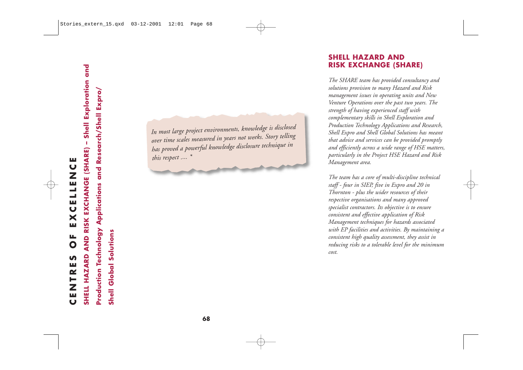- Shell Exploration and **SHELL HAZARD AND RISK EXCHANGE (SHARE) – Shell Exploration and** Production Technology Applications and Research/Shell Expro/ **Production Technology Applications and Research/Shell Expro/** SHELL HAZARD AND RISK EXCHANGE (SHARE)

**Shell Global Solutions Shell Global Solutions** *In most large project environments, knowledge is disclosed over time scales measured in years not weeks. Story telling has proved a powerful knowledge disclosure technique in this respect .... \**

#### **SHELL HAZARD AND RISK EXCHANGE (SHARE)**

*The SHARE team has provided consultancy and solutions provision to many Hazard and Risk management issues in operating units and New Venture Operations over the past two years. The strength of having experienced staff with complementary skills in Shell Exploration and Production Technology Applications and Research, Shell Expro and Shell Global Solutions has meant that advice and services can be provided promptly and efficiently across a wide range of HSE matters, particularly in the Project HSE Hazard and Risk Management area.*

*The team has a core of multi-discipline technical staff - four in SIEP, five in Expro and 20 in Thornton - plus the wider resources of their respective organisations and many approved specialist contractors. Its objective is to ensure consistent and effective application of Risk Management techniques for hazards associated with EP facilities and activities. By maintaining a consistent high quality assessment, they assist in reducing risks to a tolerable level for the minimum cost.*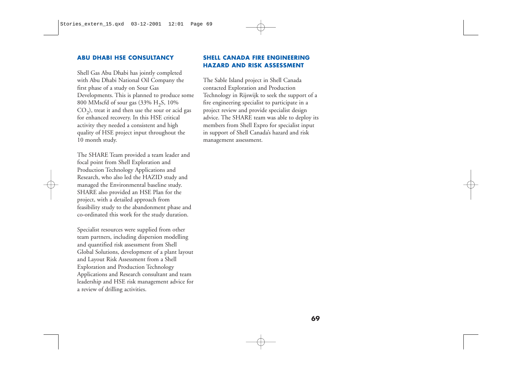#### **ABU DHABI HSE CONSULTANCY**

Shell Gas Abu Dhabi has jointly completed with Abu Dhabi National Oil Company the first phase of a study on Sour Gas Developments. This is planned to produce some 800 MMscfd of sour gas (33%  $H_2S$ , 10%  $CO<sub>2</sub>$ ), treat it and then use the sour or acid gas for enhanced recovery. In this HSE critical activity they needed a consistent and high quality of HSE project input throughout the 10 month study.

The SHARE Team provided a team leader and focal point from Shell Exploration and Production Technology Applications and Research, who also led the HAZID study and managed the Environmental baseline study. SHARE also provided an HSE Plan for the project, with a detailed approach from feasibility study to the abandonment phase and co-ordinated this work for the study duration.

Specialist resources were supplied from other team partners, including dispersion modelling and quantified risk assessment from Shell Global Solutions, development of a plant layout and Layout Risk Assessment from a Shell Exploration and Production Technology Applications and Research consultant and team leadership and HSE risk management advice for a review of drilling activities.

#### **SHELL CANADA FIRE ENGINEERING HAZARD AND RISK ASSESSMENT**

The Sable Island project in Shell Canada contacted Exploration and Production Technology in Rijswijk to seek the support of a fire engineering specialist to participate in a project review and provide specialist design advice. The SHARE team was able to deploy its members from Shell Expro for specialist input in support of Shell Canada's hazard and risk management assessment.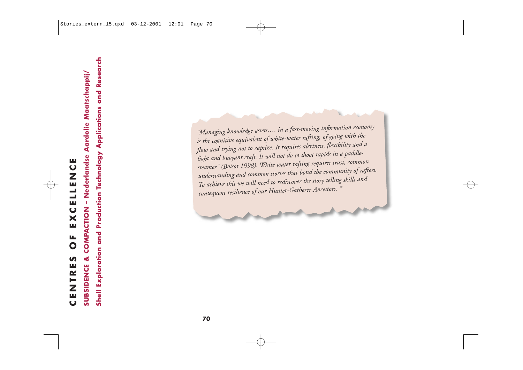COMPACTION - Nederlandse Aardolie Maatschappij/ щ **CENTRES OF EXCELLENCE** EXCELLENC  $\overline{0}$ **SUBSIDENCE &**  $\mathbf{v}$ CENTRE

**SUBSIDENCE & COMPACTION – Nederlandse Aardolie Maatschappij/**

The company interesting in the state of the content of the content of the content of the content of the content of the state in the state of the content of the content of the flow and trying not to captive *(k*, it require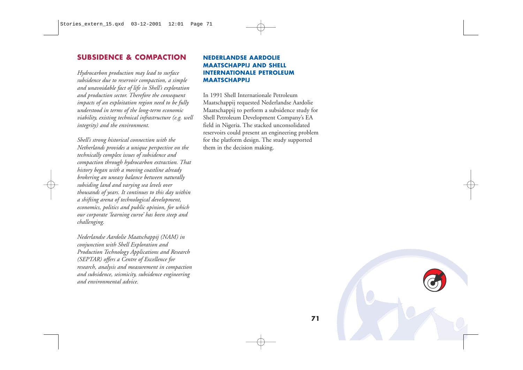#### **SUBSIDENCE & COMPACTION**

*Hydrocarbon production may lead to surface subsidence due to reservoir compaction, a simple and unavoidable fact of life in Shell's exploration and production sector. Therefore the consequent impacts of an exploitation region need to be fully understood in terms of the long-term economic viability, existing technical infrastructure (e.g. well integrity) and the environment.*

*Shell's strong historical connection with the Netherlands provides a unique perspective on the technically complex issues of subsidence and compaction through hydrocarbon extraction. That history began with a moving coastline already brokering an uneasy balance between naturally subsiding land and varying sea levels over thousands of years. It continues to this day within a shifting arena of technological development, economics, politics and public opinion, for which our corporate 'learning curve' has been steep and challenging.*

*Nederlandse Aardolie Maatschappij (NAM) in conjunction with Shell Exploration and Production Technology Applications and Research (SEPTAR) offers a Centre of Excellence for research, analysis and measurement in compaction and subsidence, seismicity, subsidence engineering and environmental advice.*

#### **NEDERLANDSE AARDOLIE MAATSCHAPPIJ AND SHELL INTERNATIONALE PETROLEUM MAATSCHAPPIJ**

In 1991 Shell Internationale Petroleum Maatschappij requested Nederlandse Aardolie Maatschappij to perform a subsidence study for Shell Petroleum Development Company's EA field in Nigeria. The stacked unconsolidated reservoirs could present an engineering problem for the platform design. The study supported them in the decision making.

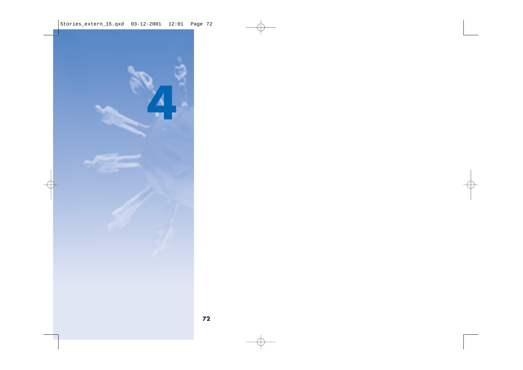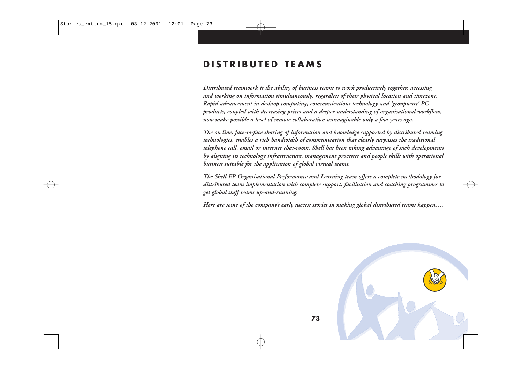# **DISTRIBUTED TEAMS**

*Distributed teamwork is the ability of business teams to work productively together, accessing and working on information simultaneously, regardless of their physical location and timezone. Rapid advancement in desktop computing, communications technology and 'groupware' PC products, coupled with decreasing prices and a deeper understanding of organisational workflow, now make possible a level of remote collaboration unimaginable only a few years ago.* 

*The on line, face-to-face sharing of information and knowledge supported by distributed teaming technologies, enables a rich bandwidth of communication that clearly surpasses the traditional telephone call, email or internet chat-room. Shell has been taking advantage of such developments by aligning its technology infrastructure, management processes and people skills with operational business suitable for the application of global virtual teams.* 

*The Shell EP Organisational Performance and Learning team offers a complete methodology for distributed team implementation with complete support, facilitation and coaching programmes to get global staff teams up-and-running.*

*Here are some of the company's early success stories in making global distributed teams happen….* 

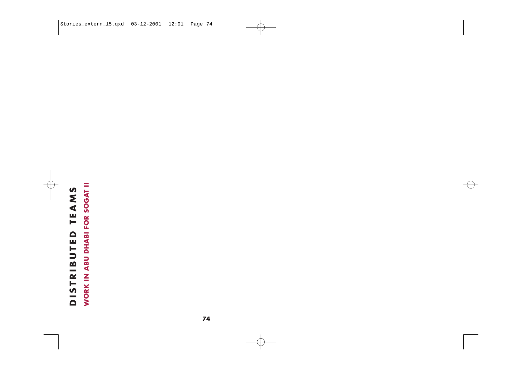# DISTRIBUTED TEAMS<br>WORK IN ABU DHABI FOR SOGAT II **WORK IN ABU DHABI FOR SOGAT II DISTRIBUTED TEAMS**

**74**

and the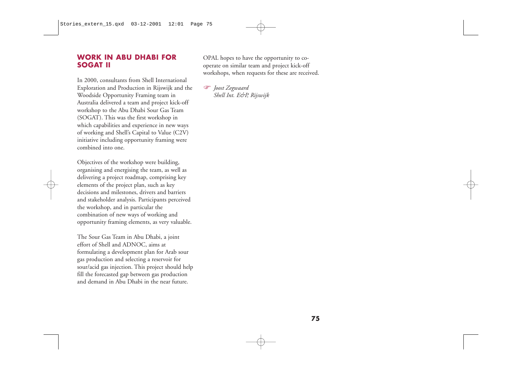#### **WORK IN ABU DHABI FOR SOGAT II**

In 2000, consultants from Shell International Exploration and Production in Rijswijk and the Woodside Opportunity Framing team in Australia delivered a team and project kick-off workshop to the Abu Dhabi Sour Gas Team (SOGAT). This was the first workshop in which capabilities and experience in new ways of working and Shell's Capital to Value (C2V) initiative including opportunity framing were combined into one.

Objectives of the workshop were building, organising and energising the team, as well as delivering a project roadmap, comprising key elements of the project plan, such as key decisions and milestones, drivers and barriers and stakeholder analysis. Participants perceived the workshop, and in particular the combination of new ways of working and opportunity framing elements, as very valuable.

The Sour Gas Team in Abu Dhabi, a joint effort of Shell and ADNOC, aims at formulating a development plan for Arab sour gas production and selecting a reservoir for sour/acid gas injection. This project should help fill the forecasted gap between gas production and demand in Abu Dhabi in the near future.

OPAL hopes to have the opportunity to cooperate on similar team and project kick-off workshops, when requests for these are received.

 *Joost Zegwaard Shell Int. E&P, Rijswijk*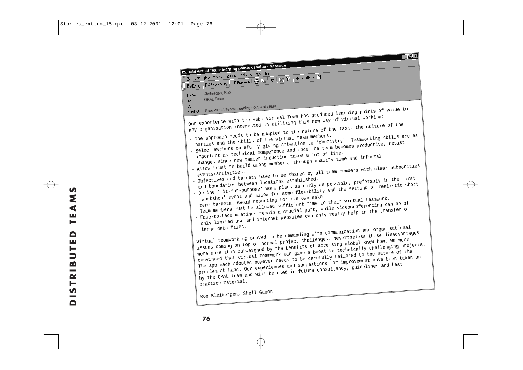**Rabi Virtual Team: learning points of value - Message**<br> **File Edit View Insert Format Look Actions Help**<br> **Reprise All LAS Forward**  $\begin{array}{|c|c|c|}\n\hline\n\textbf{Q} & \textbf{R} & \textbf{c} & \textbf{d} \\
\hline\n\textbf{Q} & \textbf{R} & \textbf{c} & \textbf{d} & \textbf{d} \\
\hline$ Kleibergen, Rob From: OPAL Team To: Subject: Rabi Virtual Team: learning points of value Our experience with the Rabi Virtual Team has produced learning points of value to any organisation interested in utilising this new way of virtual working: - The approach needs to be adapted to the nature of the task, the culture of the Select members carefully giving attention to 'chemistry'. Teamworking skills are as<br>important as technical competence and once the team becomes productive, resist<br>changes since new member induction takes a lot of time. - Allow trust to build among members, through quality time and informal<br>events/activities.<br>- Objectives and targets have to be shared by all team members with clear authoritie<br>and boundaries between locations established.<br> - Objectives and targets have to be shared by all team members with clear authorities - Objectives and targets have to be shared by all team members with clear authorities - Define the fit-for-purpose of the fit-for-purpose of the setting of realistic short<br>
term targets. Avoid reporting for its own sake.<br>
- Team members must be allowed sufficient time to their virtual teamwork.<br>
- Face-to-f - Team members must be allowed sufficient time to their virtual teamwork. only limited use and internet websites can only really help in the transfer of large data files.<br>Virtual teamworking proved to be demanding with communication and organisational virtual teamworking proved to be demanding w were more than outweighed by the benefits of accessing global know-how. We were<br>convinced that virtual teamwork can give a boost to technically challenging projects.<br>The approach adopted however needs to be carefully tailo Rob Kleibergen, Shell Gabon

 $\Box$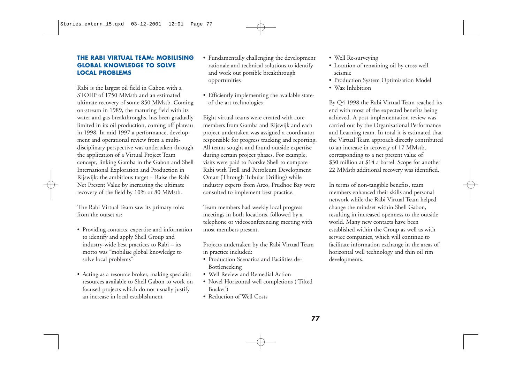#### **THE RABI VIRTUAL TEAM: MOBILISING GLOBAL KNOWLEDGE TO SOLVE LOCAL PROBLEMS**

Rabi is the largest oil field in Gabon with a STOIIP of 1750 MMstb and an estimated ultimate recovery of some 850 MMstb. Coming on-stream in 1989, the maturing field with its water and gas breakthroughs, has been gradually limited in its oil production, coming off plateau in 1998. In mid 1997 a performance, development and operational review from a multidisciplinary perspective was undertaken through the application of a Virtual Project Team concept, linking Gamba in the Gabon and Shell International Exploration and Production in Rijswijk: the ambitious target – Raise the Rabi Net Present Value by increasing the ultimate recovery of the field by 10% or 80 MMstb.

The Rabi Virtual Team saw its primary roles from the outset as:

- Providing contacts, expertise and information to identify and apply Shell Group and industry-wide best practices to Rabi – its motto was "mobilise global knowledge to solve local problems"
- Acting as a resource broker, making specialist resources available to Shell Gabon to work on focused projects which do not usually justify an increase in local establishment
- Fundamentally challenging the development rationale and technical solutions to identify and work out possible breakthrough opportunities
- Efficiently implementing the available stateof-the-art technologies

Eight virtual teams were created with core members from Gamba and Rijswijk and each project undertaken was assigned a coordinator responsible for progress tracking and reporting. All teams sought and found outside expertise during certain project phases. For example, visits were paid to Norske Shell to compare Rabi with Troll and Petroleum Development Oman (Through Tubular Drilling) while industry experts from Arco, Prudhoe Bay were consulted to implement best practice.

Team members had weekly local progress meetings in both locations, followed by a telephone or videoconferencing meeting with most members present.

Projects undertaken by the Rabi Virtual Team in practice included:

- Production Scenarios and Facilities de-Bottlenecking
- Well Review and Remedial Action
- Novel Horizontal well completions ('Tilted Bucket')
- Reduction of Well Costs
- Well Re-surveying
- Location of remaining oil by cross-well seismic
- Production System Optimisation Model
- Wax Inhibition

By Q4 1998 the Rabi Virtual Team reached its end with most of the expected benefits being achieved. A post-implementation review was carried out by the Organisational Performance and Learning team. In total it is estimated that the Virtual Team approach directly contributed to an increase in recovery of 17 MMstb, corresponding to a net present value of \$30 million at \$14 a barrel. Scope for another 22 MMstb additional recovery was identified.

In terms of non-tangible benefits, team members enhanced their skills and personal network while the Rabi Virtual Team helped change the mindset within Shell Gabon, resulting in increased openness to the outside world. Many new contacts have been established within the Group as well as with service companies, which will continue to facilitate information exchange in the areas of horizontal well technology and thin oil rim developments.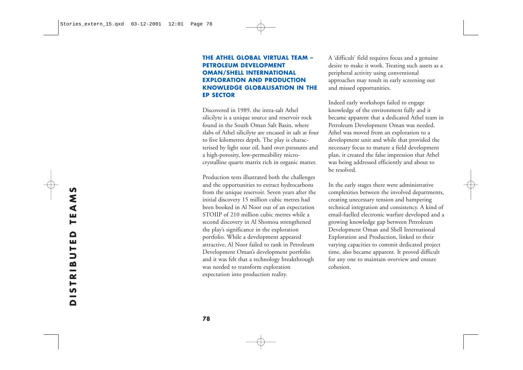#### **THE ATHEL GLOBAL VIRTUAL TEAM – PETROLEUM DEVELOPMENT OMAN/SHELL INTERNATIONAL EXPLORATION AND PRODUCTION KNOWLEDGE GLOBALISATION IN THE EP SECTOR**

Discovered in 1989, the intra-salt Athel silicilyte is a unique source and reservoir rock found in the South Oman Salt Basin, where slabs of Athel silicilyte are encased in salt at four to five kilometres depth. The play is characterised by light sour oil, hard over-pressures and a high-porosity, low-permeability microcrystalline quartz matrix rich in organic matter.

Production tests illustrated both the challenges and the opportunities to extract hydrocarbons from the unique reservoir. Seven years after the initial discovery 15 million cubic metres had been booked in Al Noor out of an expectation STOIIP of 210 million cubic metres while a second discovery in Al Shomou strengthened the play's significance in the exploration portfolio. While a development appeared attractive, Al Noor failed to rank in Petroleum Development Oman's development portfolio and it was felt that a technology breakthrough was needed to transform exploration expectation into production reality.

A 'difficult' field requires focus and a genuine desire to make it work. Treating such assets as a peripheral activity using conventional approaches may result in early screening out and missed opportunities.

Indeed early workshops failed to engage knowledge of the environment fully and it became apparent that a dedicated Athel team in Petroleum Development Oman was needed. Athel was moved from an exploration to a development unit and while that provided the necessary focus to mature a field development plan, it created the false impression that Athel was being addressed efficiently and about to be resolved.

In the early stages there were administrative complexities between the involved departments, creating unecessary tension and hampering technical integration and consistency. A kind of email-fuelled electronic warfare developed and a growing knowledge gap between Petroleum Development Oman and Shell International Exploration and Production, linked to their varying capacities to commit dedicated project time, also became apparent. It proved difficult for any one to maintain overview and ensure cohesion.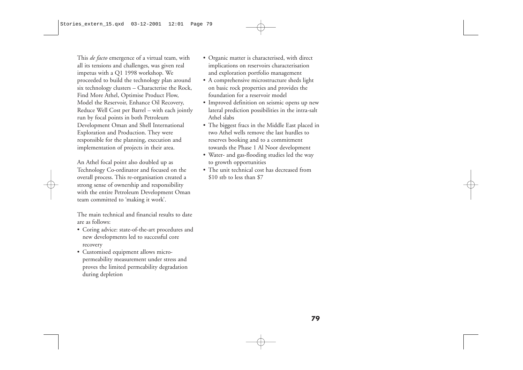This *de facto* emergence of a virtual team, with all its tensions and challenges, was given real impetus with a Q1 1998 workshop. We proceeded to build the technology plan around six technology clusters – Characterise the Rock, Find More Athel, Optimise Product Flow, Model the Reservoir, Enhance Oil Recovery, Reduce Well Cost per Barrel – with each jointly run by focal points in both Petroleum Development Oman and Shell International Exploration and Production. They were responsible for the planning, execution and implementation of projects in their area.

An Athel focal point also doubled up as Technology Co-ordinator and focused on the overall process. This re-organisation created a strong sense of ownership and responsibility with the entire Petroleum Development Oman team committed to 'making it work'.

The main technical and financial results to date are as follows:

- Coring advice: state-of-the-art procedures and new developments led to successful core recovery
- Customised equipment allows micropermeability measurement under stress and proves the limited permeability degradation during depletion
- Organic matter is characterised, with direct implications on reservoirs characterisation and exploration portfolio management
- <sup>A</sup> comprehensive microstructure sheds light on basic rock properties and provides the foundation for a reservoir model
- Improved definition on seismic opens up new lateral prediction possibilities in the intra-salt Athel slabs
- The biggest fracs in the Middle East placed in two Athel wells remove the last hurdles to reserves booking and to a commitment towards the Phase 1 Al Noor development
- Water- and gas-flooding studies led the way to growth opportunities
- The unit technical cost has decreased from \$10 stb to less than \$7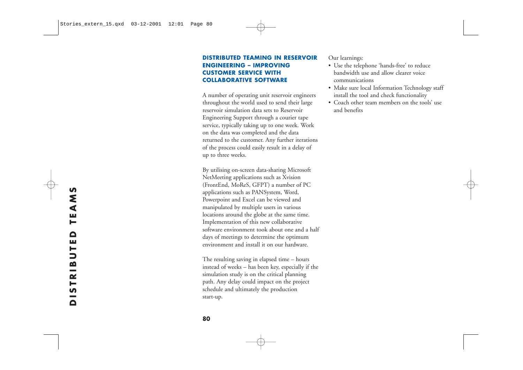#### **DISTRIBUTED TEAMING IN RESERVOIR ENGINEERING – IMPROVING CUSTOMER SERVICE WITH COLLABORATIVE SOFTWARE**

A number of operating unit reservoir engineers throughout the world used to send their large reservoir simulation data sets to Reservoir Engineering Support through a courier tape service, typically taking up to one week. Work on the data was completed and the data returned to the customer. Any further iterations of the process could easily result in a delay of up to three weeks.

By utilising on-screen data-sharing Microsoft NetMeeting applications such as Xvision (FrontEnd, MoReS, GFPT) a number of PC applications such as PANSystem, Word, Po werpoint and Excel can be viewed and manipulated by multiple users in various locations around the globe at the same time. Implementation of this new collaborative software environment took about one and a half days of meetings to determine the optimum environment and install it on our hardware.

The resulting saving in elapsed time – hours instead of weeks – has been key, especially if the simulation study is on the critical planning path. Any delay could impact on the project schedule and ultimately the production start-up.

Our learnings:

- Use the telephone 'hands-free' to reduce bandwidth use and allow clearer voice communications
- Make sure local Information Technology staff install the tool and check functionality
- Coach other team members on the tools' use and benefits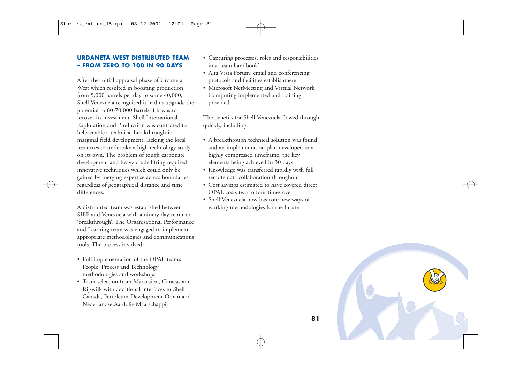#### **URDANETA WEST DISTRIBUTED TEAM – FROM ZERO TO 100 IN 90 DAYS**

After the initial appraisal phase of Urdaneta West which resulted in boosting production from 5,000 barrels per day to some 40,000, Shell Venezuela recognised it had to upgrade the potential to 60-70,000 barrels if it was to recover its investment. Shell International Exploration and Production was contacted to help enable a technical breakthrough in marginal field development, lacking the local resources to undertake a high technology study on its own. The problem of tough carbonate development and heavy crude lifting required innovative techniques which could only be gained by merging expertise across boundaries, regardless of geographical distance and time differences.

A distributed team was established between SIEP and Venezuela with a ninety day remit to 'breakthrough'. The Organisational Performance and Learning team was engaged to implement appropriate methodologies and communications tools. The process involved:

- Full implementation of the OPAL team's People, Process and Technology methodologies and workshops
- Team selection from Maracaibo, Caracas and Rijswijk with additional interfaces to Shell Canada, Petroleum Development Oman and Nederlandse Aardolie Maatschappij
- Capturing processes, roles and responsibilities in a 'team handbook'
- Alta Vista Forum, email and conferencing protocols and facilities establishment
- Microsoft NetMeeting and Virtual Network Computing implemented and training provided

The benefits for Shell Venezuela flowed through quickly, including:

- <sup>A</sup> breakthrough technical solution was found and an implementation plan developed in a highly compressed timeframe, the key elements being achieved in 30 days
- Knowledge was transferred rapidly with full remote data collaboration throughout
- Cost savings estimated to have covered direct OPAL costs two to four times over
- Shell Venezuela now has core new ways of working methodologies for the future

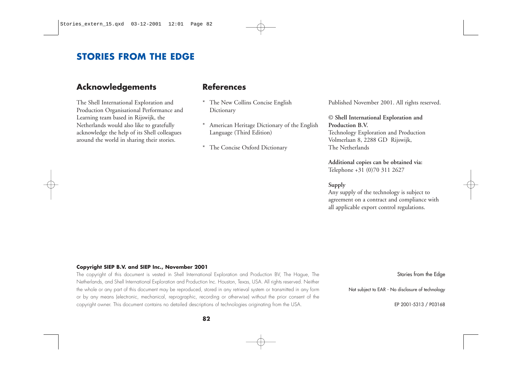# **STORIES FROM THE EDGE**

# **Acknowledgements**

The Shell International Exploration and Production Organisational Performance and Learning team based in Rijswijk, the Netherlands would also like to gratefully acknowledge the help of its Shell colleagues around the world in sharing their stories.

### **References**

- \* The New Collins Concise English Dictionary
- \* American Heritage Dictionary of the English Language (Third Edition)
- \* The Concise Oxford Dictionary

Published November 2001. All rights reserved.

#### © **Shell International Exploration and Production B.V.** Technology Exploration and Production

Volmerlaan 8, 2288 GD Rijswijk, The Netherlands

**Additional copies can be obtained via:** Telephone +31 (0)70 311 2627

#### **Supply**

Any supply of the technology is subject to agreement on a contract and compliance with all applicable export control regulations.

#### **Copyright SIEP B.V. and SIEP Inc., November 2001**

The copyright of this document is vested in Shell International Exploration and Production BV, The Hague, The Netherlands, and Shell International Exploration and Production Inc. Houston, Texas, USA. All rights reserved. Neither the whole or any part of this document may be reproduced, stored in any retrieval system or transmitted in any form or by any means (electronic, mechanical, reprographic, recording or otherwise) without the prior consent of the copyright owner. This document contains no detailed descriptions of technologies originating from the USA.

Stories from the Edge

Not subject to EAR - No disclosure of technology

EP 2001-5313 / P03168